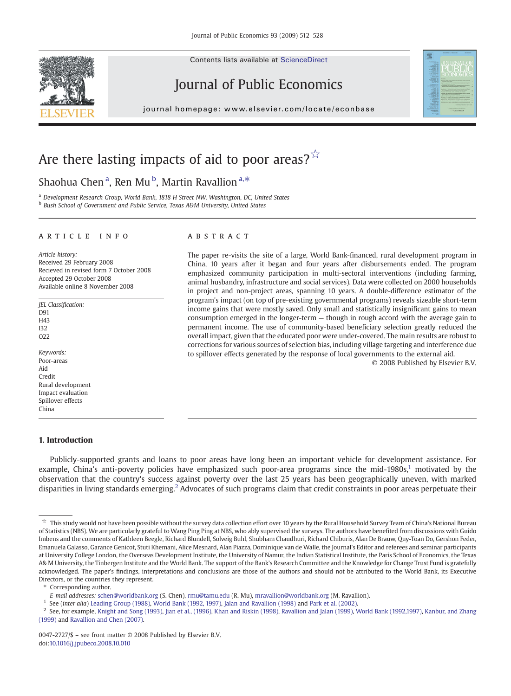Contents lists available at ScienceDirect

# Journal of Public Economics

j o u r n a l h om e p a g e : www. e l s ev i e r. c om / l o c a t e / e c o n b a s e

# Are there lasting impacts of aid to poor areas?  $\hat{X}$

## Shaohua Chen<sup>a</sup>, Ren Mu<sup>b</sup>, Martin Ravallion<sup>a,\*</sup>

<sup>a</sup> Development Research Group, World Bank, 1818 H Street NW, Washington, DC, United States **b** Bush School of Government and Public Service, Texas A&M University, United States

#### article info abstract

Article history: Received 29 February 2008 Recieved in revised form 7 October 2008 Accepted 29 October 2008 Available online 8 November 2008

JEL Classification: D91 H<sub>43</sub> I32  $022$ 

Keywords: Poor-areas Aid Credit Rural development Impact evaluation Spillover effects China

#### 1. Introduction

The paper re-visits the site of a large, World Bank-financed, rural development program in China, 10 years after it began and four years after disbursements ended. The program emphasized community participation in multi-sectoral interventions (including farming, animal husbandry, infrastructure and social services). Data were collected on 2000 households in project and non-project areas, spanning 10 years. A double-difference estimator of the program's impact (on top of pre-existing governmental programs) reveals sizeable short-term income gains that were mostly saved. Only small and statistically insignificant gains to mean consumption emerged in the longer-term — though in rough accord with the average gain to permanent income. The use of community-based beneficiary selection greatly reduced the overall impact, given that the educated poor were under-covered. The main results are robust to corrections for various sources of selection bias, including village targeting and interference due to spillover effects generated by the response of local governments to the external aid.

© 2008 Published by Elsevier B.V.

Publicly-supported grants and loans to poor areas have long been an important vehicle for development assistance. For example, China's anti-poverty policies have emphasized such poor-area programs since the mid-1980s,<sup>1</sup> motivated by the observation that the country's success against poverty over the last 25 years has been geographically uneven, with marked disparities in living standards emerging.<sup>2</sup> Advocates of such programs claim that credit constraints in poor areas perpetuate their

⁎ Corresponding author.



 $\dot{\tilde{x}}$  This study would not have been possible without the survey data collection effort over 10 years by the Rural Household Survey Team of China's National Bureau of Statistics (NBS). We are particularly grateful to Wang Ping Ping at NBS, who ably supervised the surveys. The authors have benefited from discussions with Guido Imbens and the comments of Kathleen Beegle, Richard Blundell, Solveig Buhl, Shubham Chaudhuri, Richard Chiburis, Alan De Brauw, Quy-Toan Do, Gershon Feder, Emanuela Galasso, Garance Genicot, Stuti Khemani, Alice Mesnard, Alan Piazza, Dominique van de Walle, the Journal's Editor and referees and seminar participants at University College London, the Overseas Development Institute, the University of Namur, the Indian Statistical Institute, the Paris School of Economics, the Texas A& M University, the Tinbergen Institute and the World Bank. The support of the Bank's Research Committee and the Knowledge for Change Trust Fund is gratefully acknowledged. The paper's findings, interpretations and conclusions are those of the authors and should not be attributed to the World Bank, its Executive Directors, or the countries they represent.

E-mail addresses: [schen@worldbank.org](mailto:schen@worldbank.org) (S. Chen), [rmu@tamu.edu](mailto:rmu@tamu.edu) (R. Mu), [mravallion@worldbank.org](mailto:mravallion@worldbank.org) (M. Ravallion).

<sup>&</sup>lt;sup>1</sup> See (inter alia) [Leading Group \(1988\),](#page-16-0) [World Bank \(1992, 1997\),](#page-16-0) [Jalan and Ravallion \(1998\)](#page-16-0) and [Park et al. \(2002\)](#page-16-0).

<sup>&</sup>lt;sup>2</sup> See, for example, [Knight and Song \(1993\),](#page-16-0) [Jian et al., \(1996\)](#page-16-0), [Khan and Riskin \(1998\),](#page-16-0) [Ravallion and Jalan \(1999\),](#page-16-0) [World Bank \(1992,1997\)](#page-16-0), [Kanbur, and Zhang](#page-16-0) [\(1999\)](#page-16-0) and [Ravallion and Chen \(2007\)](#page-16-0).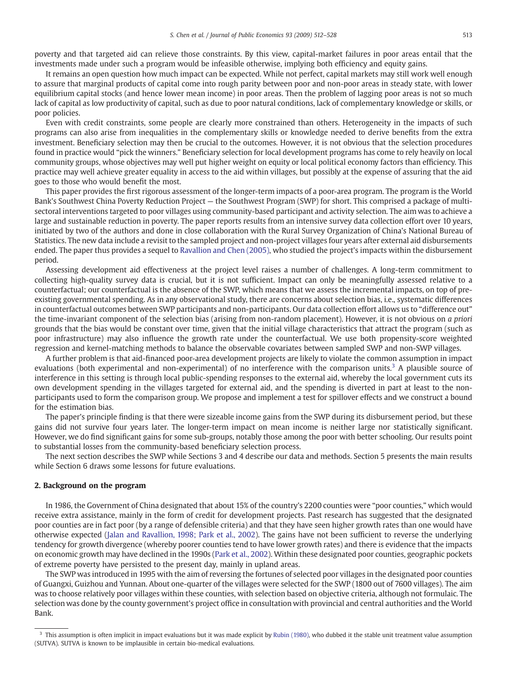poverty and that targeted aid can relieve those constraints. By this view, capital-market failures in poor areas entail that the investments made under such a program would be infeasible otherwise, implying both efficiency and equity gains.

It remains an open question how much impact can be expected. While not perfect, capital markets may still work well enough to assure that marginal products of capital come into rough parity between poor and non-poor areas in steady state, with lower equilibrium capital stocks (and hence lower mean income) in poor areas. Then the problem of lagging poor areas is not so much lack of capital as low productivity of capital, such as due to poor natural conditions, lack of complementary knowledge or skills, or poor policies.

Even with credit constraints, some people are clearly more constrained than others. Heterogeneity in the impacts of such programs can also arise from inequalities in the complementary skills or knowledge needed to derive benefits from the extra investment. Beneficiary selection may then be crucial to the outcomes. However, it is not obvious that the selection procedures found in practice would "pick the winners." Beneficiary selection for local development programs has come to rely heavily on local community groups, whose objectives may well put higher weight on equity or local political economy factors than efficiency. This practice may well achieve greater equality in access to the aid within villages, but possibly at the expense of assuring that the aid goes to those who would benefit the most.

This paper provides the first rigorous assessment of the longer-term impacts of a poor-area program. The program is the World Bank's Southwest China Poverty Reduction Project — the Southwest Program (SWP) for short. This comprised a package of multisectoral interventions targeted to poor villages using community-based participant and activity selection. The aim was to achieve a large and sustainable reduction in poverty. The paper reports results from an intensive survey data collection effort over 10 years, initiated by two of the authors and done in close collaboration with the Rural Survey Organization of China's National Bureau of Statistics. The new data include a revisit to the sampled project and non-project villages four years after external aid disbursements ended. The paper thus provides a sequel to [Ravallion and Chen \(2005\),](#page-16-0) who studied the project's impacts within the disbursement period.

Assessing development aid effectiveness at the project level raises a number of challenges. A long-term commitment to collecting high-quality survey data is crucial, but it is not sufficient. Impact can only be meaningfully assessed relative to a counterfactual; our counterfactual is the absence of the SWP, which means that we assess the incremental impacts, on top of preexisting governmental spending. As in any observational study, there are concerns about selection bias, i.e., systematic differences in counterfactual outcomes between SWP participants and non-participants. Our data collection effort allows us to "difference out" the time-invariant component of the selection bias (arising from non-random placement). However, it is not obvious on a priori grounds that the bias would be constant over time, given that the initial village characteristics that attract the program (such as poor infrastructure) may also influence the growth rate under the counterfactual. We use both propensity-score weighted regression and kernel-matching methods to balance the observable covariates between sampled SWP and non-SWP villages.

A further problem is that aid-financed poor-area development projects are likely to violate the common assumption in impact evaluations (both experimental and non-experimental) of no interference with the comparison units.<sup>3</sup> A plausible source of interference in this setting is through local public-spending responses to the external aid, whereby the local government cuts its own development spending in the villages targeted for external aid, and the spending is diverted in part at least to the nonparticipants used to form the comparison group. We propose and implement a test for spillover effects and we construct a bound for the estimation bias.

The paper's principle finding is that there were sizeable income gains from the SWP during its disbursement period, but these gains did not survive four years later. The longer-term impact on mean income is neither large nor statistically significant. However, we do find significant gains for some sub-groups, notably those among the poor with better schooling. Our results point to substantial losses from the community-based beneficiary selection process.

The next section describes the SWP while Sections 3 and 4 describe our data and methods. Section 5 presents the main results while Section 6 draws some lessons for future evaluations.

#### 2. Background on the program

In 1986, the Government of China designated that about 15% of the country's 2200 counties were "poor counties," which would receive extra assistance, mainly in the form of credit for development projects. Past research has suggested that the designated poor counties are in fact poor (by a range of defensible criteria) and that they have seen higher growth rates than one would have otherwise expected [\(Jalan and Ravallion, 1998; Park et al., 2002\)](#page-16-0). The gains have not been sufficient to reverse the underlying tendency for growth divergence (whereby poorer counties tend to have lower growth rates) and there is evidence that the impacts on economic growth may have declined in the 1990s ([Park et al., 2002\)](#page-16-0). Within these designated poor counties, geographic pockets of extreme poverty have persisted to the present day, mainly in upland areas.

The SWP was introduced in 1995 with the aim of reversing the fortunes of selected poor villages in the designated poor counties of Guangxi, Guizhou and Yunnan. About one-quarter of the villages were selected for the SWP (1800 out of 7600 villages). The aim was to choose relatively poor villages within these counties, with selection based on objective criteria, although not formulaic. The selection was done by the county government's project office in consultation with provincial and central authorities and the World Bank.

<sup>&</sup>lt;sup>3</sup> This assumption is often implicit in impact evaluations but it was made explicit by [Rubin \(1980\),](#page-16-0) who dubbed it the stable unit treatment value assumption (SUTVA). SUTVA is known to be implausible in certain bio-medical evaluations.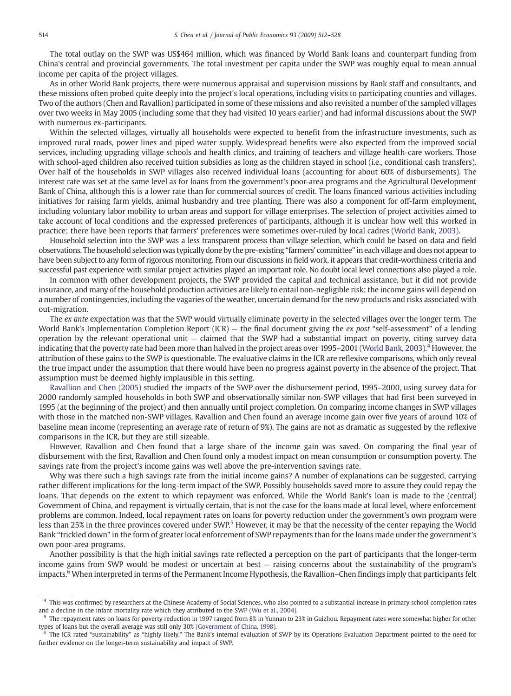The total outlay on the SWP was US\$464 million, which was financed by World Bank loans and counterpart funding from China's central and provincial governments. The total investment per capita under the SWP was roughly equal to mean annual income per capita of the project villages.

As in other World Bank projects, there were numerous appraisal and supervision missions by Bank staff and consultants, and these missions often probed quite deeply into the project's local operations, including visits to participating counties and villages. Two of the authors (Chen and Ravallion) participated in some of these missions and also revisited a number of the sampled villages over two weeks in May 2005 (including some that they had visited 10 years earlier) and had informal discussions about the SWP with numerous ex-participants.

Within the selected villages, virtually all households were expected to benefit from the infrastructure investments, such as improved rural roads, power lines and piped water supply. Widespread benefits were also expected from the improved social services, including upgrading village schools and health clinics, and training of teachers and village health-care workers. Those with school-aged children also received tuition subsidies as long as the children stayed in school (i.e., conditional cash transfers). Over half of the households in SWP villages also received individual loans (accounting for about 60% of disbursements). The interest rate was set at the same level as for loans from the government's poor-area programs and the Agricultural Development Bank of China, although this is a lower rate than for commercial sources of credit. The loans financed various activities including initiatives for raising farm yields, animal husbandry and tree planting. There was also a component for off-farm employment, including voluntary labor mobility to urban areas and support for village enterprises. The selection of project activities aimed to take account of local conditions and the expressed preferences of participants, although it is unclear how well this worked in practice; there have been reports that farmers' preferences were sometimes over-ruled by local cadres ([World Bank, 2003\)](#page-16-0).

Household selection into the SWP was a less transparent process than village selection, which could be based on data and field observations. The household selectionwas typically done by the pre-existing "farmers' committee" in each village and does not appear to have been subject to any form of rigorous monitoring. From our discussions in field work, it appears that credit-worthiness criteria and successful past experience with similar project activities played an important role. No doubt local level connections also played a role.

In common with other development projects, the SWP provided the capital and technical assistance, but it did not provide insurance, and many of the household production activities are likely to entail non-negligible risk; the income gains will depend on a number of contingencies, including the vagaries of the weather, uncertain demand for the new products and risks associated with out-migration.

The ex ante expectation was that the SWP would virtually eliminate poverty in the selected villages over the longer term. The World Bank's Implementation Completion Report  $(ICR)$  – the final document giving the ex post "self-assessment" of a lending operation by the relevant operational unit  $-$  claimed that the SWP had a substantial impact on poverty, citing survey data indicating that the poverty rate had been more than halved in the project areas over 1995–2001 ([World Bank, 2003](#page-16-0)).<sup>4</sup> However, the attribution of these gains to the SWP is questionable. The evaluative claims in the ICR are reflexive comparisons, which only reveal the true impact under the assumption that there would have been no progress against poverty in the absence of the project. That assumption must be deemed highly implausible in this setting.

[Ravallion and Chen \(2005\)](#page-16-0) studied the impacts of the SWP over the disbursement period, 1995–2000, using survey data for 2000 randomly sampled households in both SWP and observationally similar non-SWP villages that had first been surveyed in 1995 (at the beginning of the project) and then annually until project completion. On comparing income changes in SWP villages with those in the matched non-SWP villages, Ravallion and Chen found an average income gain over five years of around 10% of baseline mean income (representing an average rate of return of 9%). The gains are not as dramatic as suggested by the reflexive comparisons in the ICR, but they are still sizeable.

However, Ravallion and Chen found that a large share of the income gain was saved. On comparing the final year of disbursement with the first, Ravallion and Chen found only a modest impact on mean consumption or consumption poverty. The savings rate from the project's income gains was well above the pre-intervention savings rate.

Why was there such a high savings rate from the initial income gains? A number of explanations can be suggested, carrying rather different implications for the long-term impact of the SWP. Possibly households saved more to assure they could repay the loans. That depends on the extent to which repayment was enforced. While the World Bank's loan is made to the (central) Government of China, and repayment is virtually certain, that is not the case for the loans made at local level, where enforcement problems are common. Indeed, local repayment rates on loans for poverty reduction under the government's own program were less than 25% in the three provinces covered under SWP.<sup>5</sup> However, it may be that the necessity of the center repaying the World Bank "trickled down" in the form of greater local enforcement of SWP repayments than for the loans made under the government's own poor-area programs.

Another possibility is that the high initial savings rate reflected a perception on the part of participants that the longer-term income gains from SWP would be modest or uncertain at best — raising concerns about the sustainability of the program's impacts.<sup>6</sup> When interpreted in terms of the Permanent Income Hypothesis, the Ravallion–Chen findings imply that participants felt

<sup>&</sup>lt;sup>4</sup> This was confirmed by researchers at the Chinese Academy of Social Sciences, who also pointed to a substantial increase in primary school completion rates and a decline in the infant mortality rate which they attributed to the SWP [\(Wu et al., 2004](#page-16-0)).

<sup>&</sup>lt;sup>5</sup> The repayment rates on loans for poverty reduction in 1997 ranged from 8% in Yunnan to 23% in Guizhou. Repayment rates were somewhat higher for other types of loans but the overall average was still only 30% ([Government of China, 1998](#page-16-0)).<br>
<sup>6</sup> The ICR rated "custain-biling" was still only 30% (Government of China, 1998).

The ICR rated "sustainability" as "highly likely." The Bank's internal evaluation of SWP by its Operations Evaluation Department pointed to the need for further evidence on the longer-term sustainability and impact of SWP.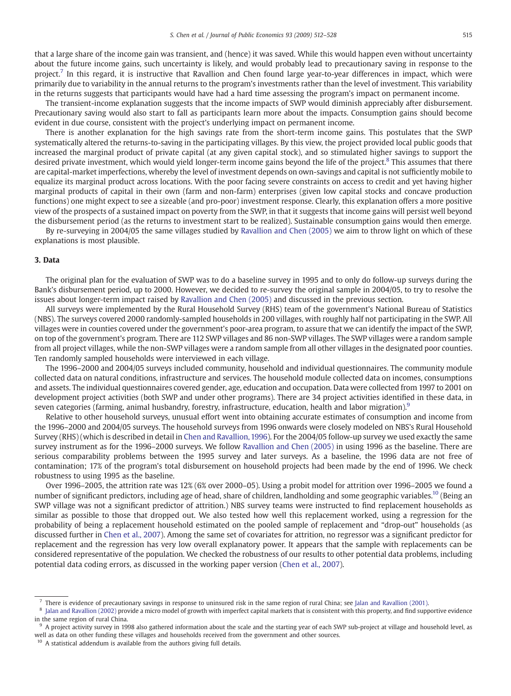that a large share of the income gain was transient, and (hence) it was saved. While this would happen even without uncertainty about the future income gains, such uncertainty is likely, and would probably lead to precautionary saving in response to the project.<sup>7</sup> In this regard, it is instructive that Ravallion and Chen found large year-to-year differences in impact, which were primarily due to variability in the annual returns to the program's investments rather than the level of investment. This variability in the returns suggests that participants would have had a hard time assessing the program's impact on permanent income.

The transient-income explanation suggests that the income impacts of SWP would diminish appreciably after disbursement. Precautionary saving would also start to fall as participants learn more about the impacts. Consumption gains should become evident in due course, consistent with the project's underlying impact on permanent income.

There is another explanation for the high savings rate from the short-term income gains. This postulates that the SWP systematically altered the returns-to-saving in the participating villages. By this view, the project provided local public goods that increased the marginal product of private capital (at any given capital stock), and so stimulated higher savings to support the desired private investment, which would vield longer-term income gains beyond the life of the project.<sup>8</sup> This assumes that there are capital-market imperfections, whereby the level of investment depends on own-savings and capital is not sufficiently mobile to equalize its marginal product across locations. With the poor facing severe constraints on access to credit and yet having higher marginal products of capital in their own (farm and non-farm) enterprises (given low capital stocks and concave production functions) one might expect to see a sizeable (and pro-poor) investment response. Clearly, this explanation offers a more positive view of the prospects of a sustained impact on poverty from the SWP, in that it suggests that income gains will persist well beyond the disbursement period (as the returns to investment start to be realized). Sustainable consumption gains would then emerge.

By re-surveying in 2004/05 the same villages studied by [Ravallion and Chen \(2005\)](#page-16-0) we aim to throw light on which of these explanations is most plausible.

#### 3. Data

The original plan for the evaluation of SWP was to do a baseline survey in 1995 and to only do follow-up surveys during the Bank's disbursement period, up to 2000. However, we decided to re-survey the original sample in 2004/05, to try to resolve the issues about longer-term impact raised by [Ravallion and Chen \(2005\)](#page-16-0) and discussed in the previous section.

All surveys were implemented by the Rural Household Survey (RHS) team of the government's National Bureau of Statistics (NBS). The surveys covered 2000 randomly-sampled households in 200 villages, with roughly half not participating in the SWP. All villages were in counties covered under the government's poor-area program, to assure that we can identify the impact of the SWP, on top of the government's program. There are 112 SWP villages and 86 non-SWP villages. The SWP villages were a random sample from all project villages, while the non-SWP villages were a random sample from all other villages in the designated poor counties. Ten randomly sampled households were interviewed in each village.

The 1996–2000 and 2004/05 surveys included community, household and individual questionnaires. The community module collected data on natural conditions, infrastructure and services. The household module collected data on incomes, consumptions and assets. The individual questionnaires covered gender, age, education and occupation. Data were collected from 1997 to 2001 on development project activities (both SWP and under other programs). There are 34 project activities identified in these data, in seven categories (farming, animal husbandry, forestry, infrastructure, education, health and labor migration).<sup>9</sup>

Relative to other household surveys, unusual effort went into obtaining accurate estimates of consumption and income from the 1996–2000 and 2004/05 surveys. The household surveys from 1996 onwards were closely modeled on NBS's Rural Household Survey (RHS) (which is described in detail in [Chen and Ravallion, 1996\)](#page-16-0). For the 2004/05 follow-up survey we used exactly the same survey instrument as for the 1996–2000 surveys. We follow [Ravallion and Chen \(2005\)](#page-16-0) in using 1996 as the baseline. There are serious comparability problems between the 1995 survey and later surveys. As a baseline, the 1996 data are not free of contamination; 17% of the program's total disbursement on household projects had been made by the end of 1996. We check robustness to using 1995 as the baseline.

Over 1996–2005, the attrition rate was 12% (6% over 2000–05). Using a probit model for attrition over 1996–2005 we found a number of significant predictors, including age of head, share of children, landholding and some geographic variables.<sup>10</sup> (Being an SWP village was not a significant predictor of attrition.) NBS survey teams were instructed to find replacement households as similar as possible to those that dropped out. We also tested how well this replacement worked, using a regression for the probability of being a replacement household estimated on the pooled sample of replacement and "drop-out" households (as discussed further in [Chen et al., 2007](#page-16-0)). Among the same set of covariates for attrition, no regressor was a significant predictor for replacement and the regression has very low overall explanatory power. It appears that the sample with replacements can be considered representative of the population. We checked the robustness of our results to other potential data problems, including potential data coding errors, as discussed in the working paper version ([Chen et al., 2007\)](#page-16-0).

 $^7$  There is evidence of precautionary savings in response to uninsured risk in the same region of rural China; see [Jalan and Ravallion \(2001\).](#page-16-0)

<sup>&</sup>lt;sup>8</sup> [Jalan and Ravallion \(2002\)](#page-16-0) provide a micro model of growth with imperfect capital markets that is consistent with this property, and find supportive evidence in the same region of rural China.

 $9$  A project activity survey in 1998 also gathered information about the scale and the starting year of each SWP sub-project at village and household level, as well as data on other funding these villages and households received from the government and other sources.

<sup>&</sup>lt;sup>10</sup> A statistical addendum is available from the authors giving full details.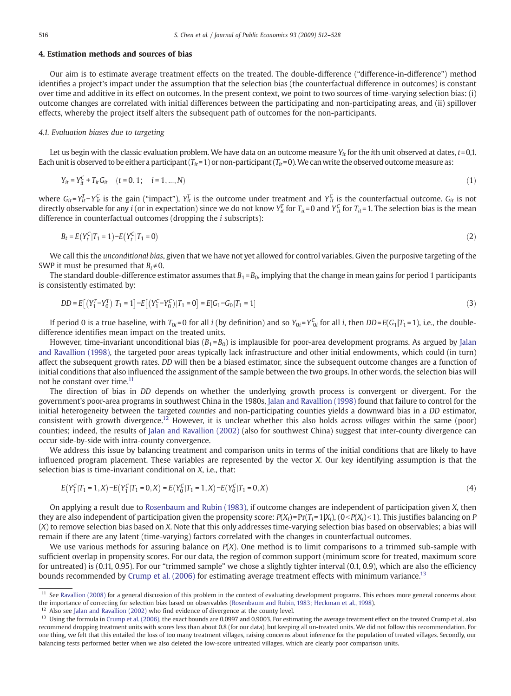#### 4. Estimation methods and sources of bias

Our aim is to estimate average treatment effects on the treated. The double-difference ("difference-in-difference") method identifies a project's impact under the assumption that the selection bias (the counterfactual difference in outcomes) is constant over time and additive in its effect on outcomes. In the present context, we point to two sources of time-varying selection bias: (i) outcome changes are correlated with initial differences between the participating and non-participating areas, and (ii) spillover effects, whereby the project itself alters the subsequent path of outcomes for the non-participants.

#### 4.1. Evaluation biases due to targeting

Let us begin with the classic evaluation problem. We have data on an outcome measure  $Y_{it}$  for the *i*th unit observed at dates, *t*=0,1. Each unit is observed to be either a participant  $(T_i=1)$  or non-participant  $(T_i=0)$ . We can write the observed outcome measure as:

$$
Y_{it} = Y_{it}^C + T_{it} G_{it} \quad (t = 0, 1; \quad i = 1, ..., N)
$$
 (1)

where  $G_{it}$ =Y $_{it}^T$ –Y $_{it}^C$  is the gain ("impact"), Y $_{it}^T$  is the outcome under treatment and Y $_{it}^C$  is the counterfactual outcome.  $G_{it}$  is not directly observable for any i (or in expectation) since we do not know  $Y_{it}^T$  for  $T_{it}$ =0 and  $Y_{it}^C$  for  $T_{it}$ =1. The selection bias is the mean difference in counterfactual outcomes (dropping the *i* subscripts):

$$
B_t = E(Y_t^C | T_1 = 1) - E(Y_t^C | T_1 = 0)
$$
\n(2)

We call this the unconditional bias, given that we have not yet allowed for control variables. Given the purposive targeting of the SWP it must be presumed that  $B_t \neq 0$ .

The standard double-difference estimator assumes that  $B_1 = B_0$ , implying that the change in mean gains for period 1 participants is consistently estimated by:

$$
DD = E[(Y_1^T - Y_0^T)|T_1 = 1] - E[(Y_1^C - Y_0^C)|T_1 = 0] = E[G_1 - G_0|T_1 = 1]
$$
\n(3)

If period 0 is a true baseline, with  $T_{0i}$ =0 for all *i* (by definition) and so  $Y_{0i} = Y_{0i}^C$  for all *i*, then  $DD = E(G_1|T_1 = 1)$ , i.e., the doubledifference identifies mean impact on the treated units.

However, time-invariant unconditional bias  $(B_1 = B_0)$  is implausible for poor-area development programs. As argued by [Jalan](#page-16-0) [and Ravallion \(1998\)](#page-16-0), the targeted poor areas typically lack infrastructure and other initial endowments, which could (in turn) affect the subsequent growth rates. DD will then be a biased estimator, since the subsequent outcome changes are a function of initial conditions that also influenced the assignment of the sample between the two groups. In other words, the selection bias will not be constant over time.<sup>11</sup>

The direction of bias in DD depends on whether the underlying growth process is convergent or divergent. For the government's poor-area programs in southwest China in the 1980s, [Jalan and Ravallion \(1998\)](#page-16-0) found that failure to control for the initial heterogeneity between the targeted counties and non-participating counties yields a downward bias in a DD estimator, consistent with growth divergence.<sup>12</sup> However, it is unclear whether this also holds across villages within the same (poor) counties; indeed, the results of [Jalan and Ravallion \(2002\)](#page-16-0) (also for southwest China) suggest that inter-county divergence can occur side-by-side with intra-county convergence.

We address this issue by balancing treatment and comparison units in terms of the initial conditions that are likely to have influenced program placement. These variables are represented by the vector X. Our key identifying assumption is that the selection bias is time-invariant conditional on X, i.e., that:

$$
E(Y_1^C|T_1 = 1, X) - E(Y_1^C|T_1 = 0, X) = E(Y_0^C|T_1 = 1, X) - E(Y_0^C|T_1 = 0, X)
$$
\n
$$
(4)
$$

On applying a result due to [Rosenbaum and Rubin \(1983\)](#page-16-0), if outcome changes are independent of participation given X, then they are also independent of participation given the propensity score:  $P(X_i) = Pr(T_i = 1 | X_i)$ ,  $(0 < P(X_i) < 1)$ . This justifies balancing on P (X) to remove selection bias based on X. Note that this only addresses time-varying selection bias based on observables; a bias will remain if there are any latent (time-varying) factors correlated with the changes in counterfactual outcomes.

We use various methods for assuring balance on  $P(X)$ . One method is to limit comparisons to a trimmed sub-sample with sufficient overlap in propensity scores. For our data, the region of common support (minimum score for treated, maximum score for untreated) is (0.11, 0.95). For our "trimmed sample" we chose a slightly tighter interval (0.1, 0.9), which are also the efficiency bounds recommended by [Crump et al. \(2006\)](#page-16-0) for estimating average treatment effects with minimum variance.<sup>13</sup>

<sup>&</sup>lt;sup>11</sup> See [Ravallion \(2008\)](#page-16-0) for a general discussion of this problem in the context of evaluating development programs. This echoes more general concerns about the importance of correcting for selection bias based on observables [\(Rosenbaum and Rubin, 1983; Heckman et al., 1998](#page-16-0)).

 $12$  Also see [Jalan and Ravallion \(2002\)](#page-16-0) who find evidence of divergence at the county level.

<sup>&</sup>lt;sup>13</sup> Using the formula in [Crump et al. \(2006\),](#page-16-0) the exact bounds are 0.0997 and 0.9003. For estimating the average treatment effect on the treated Crump et al. also recommend dropping treatment units with scores less than about 0.8 (for our data), but keeping all un-treated units. We did not follow this recommendation. For one thing, we felt that this entailed the loss of too many treatment villages, raising concerns about inference for the population of treated villages. Secondly, our balancing tests performed better when we also deleted the low-score untreated villages, which are clearly poor comparison units.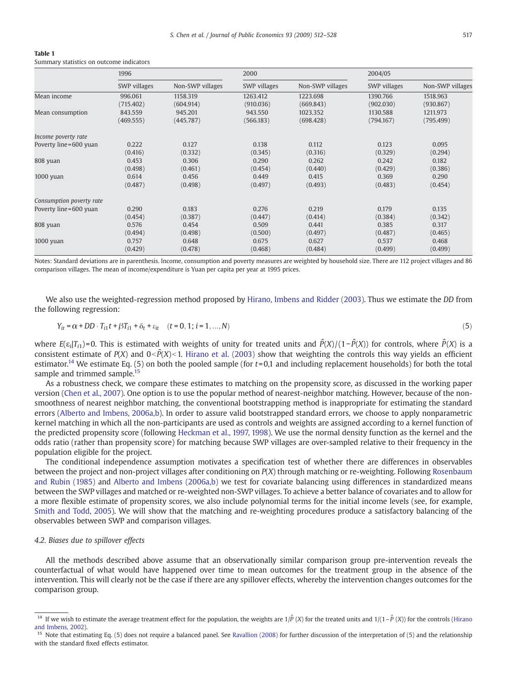<span id="page-5-0"></span>

| Table 1                                  |  |  |
|------------------------------------------|--|--|
| Summary statistics on outcome indicators |  |  |

|                          | 1996         |                  | 2000         |                  | 2004/05                                                                                                                                    |                  |
|--------------------------|--------------|------------------|--------------|------------------|--------------------------------------------------------------------------------------------------------------------------------------------|------------------|
|                          | SWP villages | Non-SWP villages | SWP villages | Non-SWP villages | SWP villages                                                                                                                               | Non-SWP villages |
| Mean income              | 996.061      | 1158.319         | 1263.412     | 1223.698         | 1390.766                                                                                                                                   | 1518.963         |
|                          | (715.402)    | (604.914)        | (910.036)    | (669.843)        | (902.030)                                                                                                                                  | (930.867)        |
| Mean consumption         | 843.559      | 945.201          | 943.550      | 1023.352         | 1130.588                                                                                                                                   | 1211.973         |
|                          | (469.555)    | (445.787)        | (566.183)    | (698.428)        | (794.167)                                                                                                                                  | (795.499)        |
| Income poverty rate      |              |                  |              |                  |                                                                                                                                            |                  |
| Poverty line=600 yuan    | 0.222        | 0.127            | 0.138        | 0.112            | 0.123                                                                                                                                      | 0.095            |
|                          | (0.416)      | (0.332)          | (0.345)      | (0.316)          | (0.329)                                                                                                                                    | (0.294)          |
| 808 yuan                 | 0.453        | 0.306            | 0.290        | 0.262            | 0.242                                                                                                                                      | 0.182            |
|                          | (0.498)      | (0.461)          | (0.454)      | (0.440)          | (0.429)                                                                                                                                    | (0.386)          |
| $1000$ yuan              | 0.614        | 0.456            | 0.449        | 0.415            | 0.369                                                                                                                                      | 0.290            |
|                          | (0.487)      | (0.498)          | (0.497)      | (0.493)          | (0.483)<br>(0.454)<br>0.179<br>0.135<br>(0.384)<br>(0.342)<br>0.385<br>0.317<br>(0.487)<br>(0.465)<br>0.468<br>0.537<br>(0.499)<br>(0.499) |                  |
| Consumption poverty rate |              |                  |              |                  |                                                                                                                                            |                  |
| Poverty line=600 yuan    | 0.290        | 0.183            | 0.276        | 0.219            |                                                                                                                                            |                  |
|                          | (0.454)      | (0.387)          | (0.447)      | (0.414)          |                                                                                                                                            |                  |
| 808 yuan                 | 0.576        | 0.454            | 0.509        | 0.441            |                                                                                                                                            |                  |
|                          | (0.494)      | (0.498)          | (0.500)      | (0.497)          |                                                                                                                                            |                  |
| $1000$ yuan              | 0.757        | 0.648            | 0.675        | 0.627            |                                                                                                                                            |                  |
|                          | (0.429)      | (0.478)          | (0.468)      | (0.484)          |                                                                                                                                            |                  |

Notes: Standard deviations are in parenthesis. Income, consumption and poverty measures are weighted by household size. There are 112 project villages and 86 comparison villages. The mean of income/expenditure is Yuan per capita per year at 1995 prices.

We also use the weighted-regression method proposed by [Hirano, Imbens and Ridder \(2003\).](#page-16-0) Thus we estimate the DD from the following regression:

$$
Y_{it} = \alpha + DD \cdot T_{i1}t + \beta T_{i1} + \delta_t + \varepsilon_{it} \quad (t = 0, 1; i = 1, ..., N)
$$
\n(5)

where  $E(\varepsilon_i|T_{i1}) = 0$ . This is estimated with weights of unity for treated units and  $\hat{P}(X)/(1-\hat{P}(X))$  for controls, where  $\hat{P}(X)$  is a consistent estimate of  $P(X)$  and  $0 < \hat{P}(X) < 1$ . [Hirano et al. \(2003\)](#page-16-0) show that weighting the controls this way yields an efficient estimator.<sup>14</sup> We estimate Eq. (5) on both the pooled sample (for  $t=0,1$  and including replacement households) for both the total sample and trimmed sample.<sup>15</sup>

As a robustness check, we compare these estimates to matching on the propensity score, as discussed in the working paper version [\(Chen et al., 2007\)](#page-16-0). One option is to use the popular method of nearest-neighbor matching. However, because of the nonsmoothness of nearest neighbor matching, the conventional bootstrapping method is inappropriate for estimating the standard errors [\(Alberto and Imbens, 2006a,b\)](#page-16-0). In order to assure valid bootstrapped standard errors, we choose to apply nonparametric kernel matching in which all the non-participants are used as controls and weights are assigned according to a kernel function of the predicted propensity score (following [Heckman et al., 1997, 1998\)](#page-16-0). We use the normal density function as the kernel and the odds ratio (rather than propensity score) for matching because SWP villages are over-sampled relative to their frequency in the population eligible for the project.

The conditional independence assumption motivates a specification test of whether there are differences in observables between the project and non-project villages after conditioning on P(X) through matching or re-weighting. Following [Rosenbaum](#page-16-0) [and Rubin \(1985\)](#page-16-0) and [Alberto and Imbens \(2006a,b\)](#page-16-0) we test for covariate balancing using differences in standardized means between the SWP villages and matched or re-weighted non-SWP villages. To achieve a better balance of covariates and to allow for a more flexible estimate of propensity scores, we also include polynomial terms for the initial income levels (see, for example, [Smith and Todd, 2005\)](#page-16-0). We will show that the matching and re-weighting procedures produce a satisfactory balancing of the observables between SWP and comparison villages.

#### 4.2. Biases due to spillover effects

All the methods described above assume that an observationally similar comparison group pre-intervention reveals the counterfactual of what would have happened over time to mean outcomes for the treatment group in the absence of the intervention. This will clearly not be the case if there are any spillover effects, whereby the intervention changes outcomes for the comparison group.

<sup>&</sup>lt;sup>14</sup> If we wish to estimate the average treatment effect for the population, the weights are 1/ $\hat{P}(X)$  for the treated units and 1/(1– $\hat{P}(X)$ ) for the controls [\(Hirano](#page-16-0) [and Imbens, 2002\)](#page-16-0).

<sup>&</sup>lt;sup>15</sup> Note that estimating Eq. (5) does not require a balanced panel. See [Ravallion \(2008\)](#page-16-0) for further discussion of the interpretation of (5) and the relationship with the standard fixed effects estimator.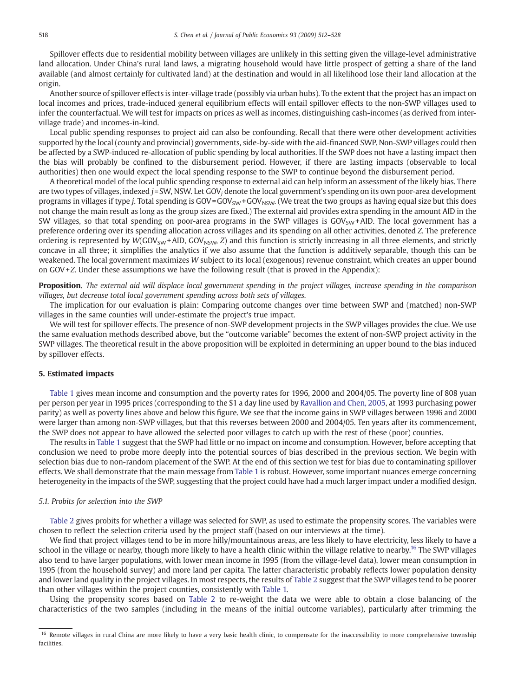Spillover effects due to residential mobility between villages are unlikely in this setting given the village-level administrative land allocation. Under China's rural land laws, a migrating household would have little prospect of getting a share of the land available (and almost certainly for cultivated land) at the destination and would in all likelihood lose their land allocation at the origin.

Another source of spillover effects is inter-village trade (possibly via urban hubs). To the extent that the project has an impact on local incomes and prices, trade-induced general equilibrium effects will entail spillover effects to the non-SWP villages used to infer the counterfactual. We will test for impacts on prices as well as incomes, distinguishing cash-incomes (as derived from intervillage trade) and incomes-in-kind.

Local public spending responses to project aid can also be confounding. Recall that there were other development activities supported by the local (county and provincial) governments, side-by-side with the aid-financed SWP. Non-SWP villages could then be affected by a SWP-induced re-allocation of public spending by local authorities. If the SWP does not have a lasting impact then the bias will probably be confined to the disbursement period. However, if there are lasting impacts (observable to local authorities) then one would expect the local spending response to the SWP to continue beyond the disbursement period.

A theoretical model of the local public spending response to external aid can help inform an assessment of the likely bias. There are two types of villages, indexed  $j$ = SW, NSW. Let GOV $_j$  denote the local government's spending on its own poor-area development programs in villages if type j. Total spending is  $GOV = GOV<sub>SW</sub> + GOV<sub>NSW</sub>$ . (We treat the two groups as having equal size but this does not change the main result as long as the group sizes are fixed.) The external aid provides extra spending in the amount AID in the SW villages, so that total spending on poor-area programs in the SWP villages is  $GOV_{SW}+AID$ . The local government has a preference ordering over its spending allocation across villages and its spending on all other activities, denoted Z. The preference ordering is represented by  $W(GOV_{SW} + AID, GOV_{NSW}, Z)$  and this function is strictly increasing in all three elements, and strictly concave in all three; it simplifies the analytics if we also assume that the function is additively separable, though this can be weakened. The local government maximizes W subject to its local (exogenous) revenue constraint, which creates an upper bound on GOV +Z. Under these assumptions we have the following result (that is proved in the Appendix):

Proposition. The external aid will displace local government spending in the project villages, increase spending in the comparison villages, but decrease total local government spending across both sets of villages.

The implication for our evaluation is plain: Comparing outcome changes over time between SWP and (matched) non-SWP villages in the same counties will under-estimate the project's true impact.

We will test for spillover effects. The presence of non-SWP development projects in the SWP villages provides the clue. We use the same evaluation methods described above, but the "outcome variable" becomes the extent of non-SWP project activity in the SWP villages. The theoretical result in the above proposition will be exploited in determining an upper bound to the bias induced by spillover effects.

#### 5. Estimated impacts

[Table 1](#page-5-0) gives mean income and consumption and the poverty rates for 1996, 2000 and 2004/05. The poverty line of 808 yuan per person per year in 1995 prices (corresponding to the \$1 a day line used by [Ravallion and Chen, 2005,](#page-16-0) at 1993 purchasing power parity) as well as poverty lines above and below this figure. We see that the income gains in SWP villages between 1996 and 2000 were larger than among non-SWP villages, but that this reverses between 2000 and 2004/05. Ten years after its commencement, the SWP does not appear to have allowed the selected poor villages to catch up with the rest of these (poor) counties.

The results in [Table 1](#page-5-0) suggest that the SWP had little or no impact on income and consumption. However, before accepting that conclusion we need to probe more deeply into the potential sources of bias described in the previous section. We begin with selection bias due to non-random placement of the SWP. At the end of this section we test for bias due to contaminating spillover effects. We shall demonstrate that the main message from [Table 1](#page-5-0) is robust. However, some important nuances emerge concerning heterogeneity in the impacts of the SWP, suggesting that the project could have had a much larger impact under a modified design.

#### 5.1. Probits for selection into the SWP

[Table 2](#page-7-0) gives probits for whether a village was selected for SWP, as used to estimate the propensity scores. The variables were chosen to reflect the selection criteria used by the project staff (based on our interviews at the time).

We find that project villages tend to be in more hilly/mountainous areas, are less likely to have electricity, less likely to have a school in the village or nearby, though more likely to have a health clinic within the village relative to nearby.<sup>16</sup> The SWP villages also tend to have larger populations, with lower mean income in 1995 (from the village-level data), lower mean consumption in 1995 (from the household survey) and more land per capita. The latter characteristic probably reflects lower population density and lower land quality in the project villages. In most respects, the results of [Table 2](#page-7-0) suggest that the SWP villages tend to be poorer than other villages within the project counties, consistently with [Table 1.](#page-5-0)

Using the propensity scores based on [Table 2](#page-7-0) to re-weight the data we were able to obtain a close balancing of the characteristics of the two samples (including in the means of the initial outcome variables), particularly after trimming the

<sup>&</sup>lt;sup>16</sup> Remote villages in rural China are more likely to have a very basic health clinic, to compensate for the inaccessibility to more comprehensive township facilities.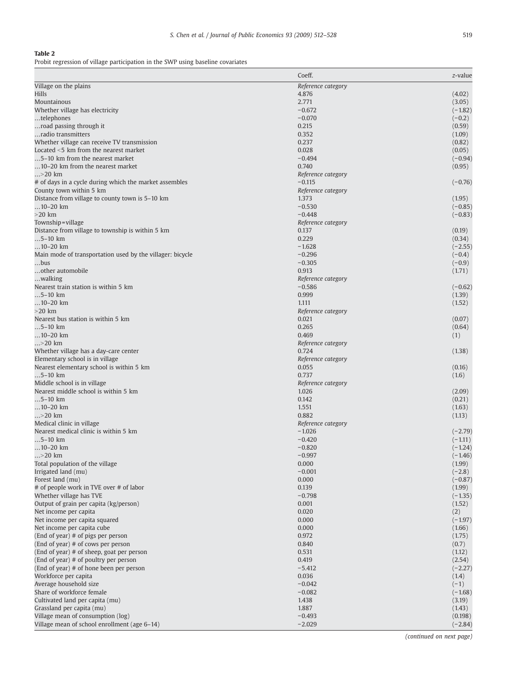<span id="page-7-0"></span>Probit regression of village participation in the SWP using baseline covariates

|                                                                     | Coeff.                      | z-value             |
|---------------------------------------------------------------------|-----------------------------|---------------------|
| Village on the plains                                               | Reference category          |                     |
| Hills                                                               | 4.876                       | (4.02)              |
| Mountainous                                                         | 2.771                       | (3.05)              |
| Whether village has electricity                                     | $-0.672$                    | $(-1.82)$           |
| telephones                                                          | $-0.070$                    | $(-0.2)$            |
| road passing through it                                             | 0.215                       | (0.59)              |
| radio transmitters                                                  | 0.352                       | (1.09)              |
| Whether village can receive TV transmission                         | 0.237                       | (0.82)              |
| Located <5 km from the nearest market                               | 0.028                       | (0.05)              |
| 5–10 km from the nearest market<br>10-20 km from the nearest market | $-0.494$<br>0.740           | $(-0.94)$           |
| >20 km                                                              | Reference category          | (0.95)              |
| # of days in a cycle during which the market assembles              | $-0.115$                    | $(-0.76)$           |
| County town within 5 km                                             | Reference category          |                     |
| Distance from village to county town is 5-10 km                     | 1.373                       | (1.95)              |
| $10-20$ km                                                          | $-0.530$                    | $(-0.85)$           |
| $>20$ km                                                            | $-0.448$                    | $(-0.83)$           |
| Township = village                                                  | Reference category          |                     |
| Distance from village to township is within 5 km                    | 0.137                       | (0.19)              |
| 5–10 km                                                             | 0.229                       | (0.34)              |
| $10-20$ km                                                          | $-1.628$                    | $(-2.55)$           |
| Main mode of transportation used by the villager: bicycle           | $-0.296$                    | $(-0.4)$            |
| bus                                                                 | $-0.305$                    | $(-0.9)$            |
| other automobile                                                    | 0.913                       | (1.71)              |
| walking                                                             | Reference category          |                     |
| Nearest train station is within 5 km                                | $-0.586$                    | $(-0.62)$           |
| 5–10 km                                                             | 0.999                       | (1.39)              |
| $10-20$ km                                                          | 1.111                       | (1.52)              |
| $>20$ km                                                            | Reference category          |                     |
| Nearest bus station is within 5 km                                  | 0.021                       | (0.07)              |
| $5-10$ km<br>$10-20$ km                                             | 0.265                       | (0.64)              |
| $$ > 20 km                                                          | 0.469<br>Reference category | (1)                 |
| Whether village has a day-care center                               | 0.724                       | (1.38)              |
| Elementary school is in village                                     | Reference category          |                     |
| Nearest elementary school is within 5 km                            | 0.055                       | (0.16)              |
| 5–10 km                                                             | 0.737                       | (1.6)               |
| Middle school is in village                                         | Reference category          |                     |
| Nearest middle school is within 5 km                                | 1.026                       | (2.09)              |
| $$ 5-10 km                                                          | 0.142                       | (0.21)              |
| $10-20$ km                                                          | 1.551                       | (1.63)              |
| $$ > 20 km                                                          | 0.882                       | (1.13)              |
| Medical clinic in village                                           | Reference category          |                     |
| Nearest medical clinic is within 5 km                               | $-1.026$                    | $(-2.79)$           |
| $5-10$ km                                                           | $-0.420$                    | $(-1.11)$           |
| $10-20$ km                                                          | $-0.820$                    | $(-1.24)$           |
| >20 km                                                              | $-0.997$                    | $(-1.46)$           |
| Total population of the village                                     | 0.000                       | (1.99)              |
| Irrigated land (mu)                                                 | $-0.001$                    | $(-2.8)$            |
| Forest land (mu)                                                    | 0.000                       | $(-0.87)$           |
| # of people work in TVE over # of labor                             | 0.139<br>$-0.798$           | (1.99)              |
| Whether village has TVE<br>Output of grain per capita (kg/person)   | 0.001                       | $(-1.35)$<br>(1.52) |
| Net income per capita                                               | 0.020                       | (2)                 |
| Net income per capita squared                                       | 0.000                       | $(-1.97)$           |
| Net income per capita cube                                          | 0.000                       | (1.66)              |
| (End of year) # of pigs per person                                  | 0.972                       | (1.75)              |
| (End of year) # of cows per person                                  | 0.840                       | (0.7)               |
| (End of year) # of sheep, goat per person                           | 0.531                       | (1.12)              |
| (End of year) # of poultry per person                               | 0.419                       | (2.54)              |
| (End of year) # of hone been per person                             | $-5.412$                    | $(-2.27)$           |
| Workforce per capita                                                | 0.036                       | (1.4)               |
| Average household size                                              | $-0.042$                    | $(-1)$              |
| Share of workforce female                                           | $-0.082$                    | $(-1.68)$           |
| Cultivated land per capita (mu)                                     | 1.438                       | (3.19)              |
| Grassland per capita (mu)                                           | 1.887                       | (1.43)              |
| Village mean of consumption (log)                                   | $-0.493$                    | (0.198)             |
| Village mean of school enrollment (age 6-14)                        | $-2.029$                    | $(-2.84)$           |

(continued on next page) (continued on next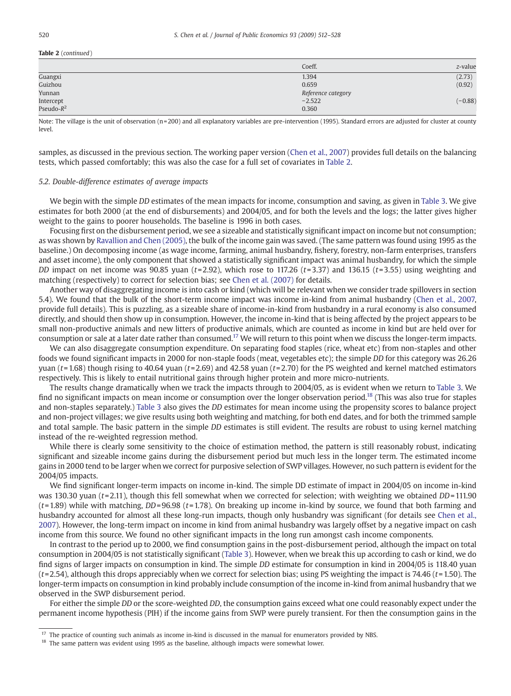#### Table 2 (continued)

|               | Coeff.             | z-value   |
|---------------|--------------------|-----------|
| Guangxi       | 1.394              | (2.73)    |
| Guizhou       | 0.659              | (0.92)    |
| Yunnan        | Reference category |           |
| Intercept     | $-2.522$           | $(-0.88)$ |
| Pseudo- $R^2$ | 0.360              |           |

Note: The village is the unit of observation (n=200) and all explanatory variables are pre-intervention (1995). Standard errors are adjusted for cluster at county level.

samples, as discussed in the previous section. The working paper version [\(Chen et al., 2007](#page-16-0)) provides full details on the balancing tests, which passed comfortably; this was also the case for a full set of covariates in [Table 2](#page-7-0).

#### 5.2. Double-difference estimates of average impacts

We begin with the simple DD estimates of the mean impacts for income, consumption and saving, as given in [Table 3.](#page-9-0) We give estimates for both 2000 (at the end of disbursements) and 2004/05, and for both the levels and the logs; the latter gives higher weight to the gains to poorer households. The baseline is 1996 in both cases.

Focusing first on the disbursement period, we see a sizeable and statistically significant impact on income but not consumption; as was shown by [Ravallion and Chen \(2005\)](#page-16-0), the bulk of the income gain was saved. (The same pattern was found using 1995 as the baseline.) On decomposing income (as wage income, farming, animal husbandry, fishery, forestry, non-farm enterprises, transfers and asset income), the only component that showed a statistically significant impact was animal husbandry, for which the simple DD impact on net income was 90.85 yuan ( $t=2.92$ ), which rose to 117.26 ( $t=3.37$ ) and 136.15 ( $t=3.55$ ) using weighting and matching (respectively) to correct for selection bias; see [Chen et al. \(2007\)](#page-16-0) for details.

Another way of disaggregating income is into cash or kind (which will be relevant when we consider trade spillovers in section 5.4). We found that the bulk of the short-term income impact was income in-kind from animal husbandry ([Chen et al., 2007,](#page-16-0) provide full details). This is puzzling, as a sizeable share of income-in-kind from husbandry in a rural economy is also consumed directly, and should then show up in consumption. However, the income in-kind that is being affected by the project appears to be small non-productive animals and new litters of productive animals, which are counted as income in kind but are held over for consumption or sale at a later date rather than consumed.17 We will return to this point when we discuss the longer-term impacts.

We can also disaggregate consumption expenditure. On separating food staples (rice, wheat etc) from non-staples and other foods we found significant impacts in 2000 for non-staple foods (meat, vegetables etc); the simple DD for this category was 26.26 yuan ( $t=1.68$ ) though rising to 40.64 yuan ( $t=2.69$ ) and 42.58 yuan ( $t=2.70$ ) for the PS weighted and kernel matched estimators respectively. This is likely to entail nutritional gains through higher protein and more micro-nutrients.

The results change dramatically when we track the impacts through to 2004/05, as is evident when we return to [Table 3](#page-9-0). We find no significant impacts on mean income or consumption over the longer observation period.<sup>18</sup> (This was also true for staples and non-staples separately.) [Table 3](#page-9-0) also gives the DD estimates for mean income using the propensity scores to balance project and non-project villages; we give results using both weighting and matching, for both end dates, and for both the trimmed sample and total sample. The basic pattern in the simple DD estimates is still evident. The results are robust to using kernel matching instead of the re-weighted regression method.

While there is clearly some sensitivity to the choice of estimation method, the pattern is still reasonably robust, indicating significant and sizeable income gains during the disbursement period but much less in the longer term. The estimated income gains in 2000 tend to be larger when we correct for purposive selection of SWP villages. However, no such pattern is evident for the 2004/05 impacts.

We find significant longer-term impacts on income in-kind. The simple DD estimate of impact in 2004/05 on income in-kind was 130.30 yuan ( $t = 2.11$ ), though this fell somewhat when we corrected for selection; with weighting we obtained  $DD = 111.90$  $(t=1.89)$  while with matching, DD=96.98 (t=1.78). On breaking up income in-kind by source, we found that both farming and husbandry accounted for almost all these long-run impacts, though only husbandry was significant (for details see [Chen et al.,](#page-16-0) [2007\)](#page-16-0). However, the long-term impact on income in kind from animal husbandry was largely offset by a negative impact on cash income from this source. We found no other significant impacts in the long run amongst cash income components.

In contrast to the period up to 2000, we find consumption gains in the post-disbursement period, although the impact on total consumption in 2004/05 is not statistically significant [\(Table 3\)](#page-9-0). However, when we break this up according to cash or kind, we do find signs of larger impacts on consumption in kind. The simple DD estimate for consumption in kind in 2004/05 is 118.40 yuan  $(t=2.54)$ , although this drops appreciably when we correct for selection bias; using PS weighting the impact is 74.46  $(t=1.50)$ . The longer-term impacts on consumption in kind probably include consumption of the income in-kind from animal husbandry that we observed in the SWP disbursement period.

For either the simple DD or the score-weighted DD, the consumption gains exceed what one could reasonably expect under the permanent income hypothesis (PIH) if the income gains from SWP were purely transient. For then the consumption gains in the

<sup>17</sup> The practice of counting such animals as income in-kind is discussed in the manual for enumerators provided by NBS.

<sup>&</sup>lt;sup>18</sup> The same pattern was evident using 1995 as the baseline, although impacts were somewhat lower.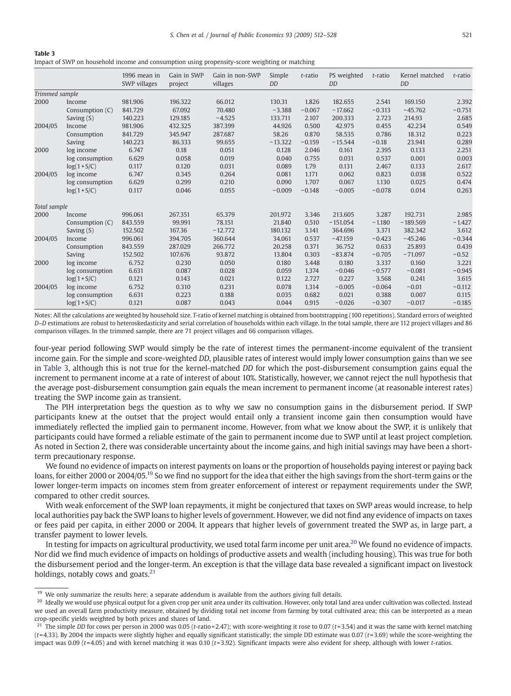#### <span id="page-9-0"></span>Table 3

Impact of SWP on household income and consumption using propensity-score weighting or matching

|                |                   | 1996 mean in<br>SWP villages | Gain in SWP<br>project | Gain in non-SWP<br>villages | Simple<br><b>DD</b> | t-ratio  | PS weighted<br><b>DD</b> | t-ratio  | Kernel matched<br><b>DD</b> | t-ratio  |
|----------------|-------------------|------------------------------|------------------------|-----------------------------|---------------------|----------|--------------------------|----------|-----------------------------|----------|
| Trimmed sample |                   |                              |                        |                             |                     |          |                          |          |                             |          |
| 2000           | Income            | 981.906                      | 196.322                | 66.012                      | 130.31              | 1.826    | 182.655                  | 2.541    | 169.150                     | 2.392    |
|                | Consumption $(C)$ | 841.729                      | 67.092                 | 70.480                      | $-3.388$            | $-0.067$ | $-17.662$                | $-0.313$ | $-45.762$                   | $-0.751$ |
|                | Saving $(S)$      | 140.223                      | 129.185                | $-4.525$                    | 133.711             | 2.107    | 200.333                  | 2.723    | 214.93                      | 2.685    |
| 2004/05        | Income            | 981.906                      | 432.325                | 387.399                     | 44.926              | 0.500    | 42.975                   | 0.455    | 42.234                      | 0.549    |
|                | Consumption       | 841.729                      | 345.947                | 287.687                     | 58.26               | 0.870    | 58.535                   | 0.786    | 18.312                      | 0.223    |
|                | Saving            | 140.223                      | 86.333                 | 99.655                      | $-13.322$           | $-0.159$ | $-15.544$                | $-0.18$  | 23.941                      | 0.289    |
| 2000           | log income        | 6.747                        | 0.18                   | 0.051                       | 0.128               | 2.046    | 0.161                    | 2.395    | 0.133                       | 2.251    |
|                | log consumption   | 6.629                        | 0.058                  | 0.019                       | 0.040               | 0.755    | 0.031                    | 0.537    | 0.001                       | 0.003    |
|                | $log(1+S/C)$      | 0.117                        | 0.120                  | 0.031                       | 0.089               | 1.79     | 0.131                    | 2.467    | 0.133                       | 2.617    |
| 2004/05        | log income        | 6.747                        | 0.345                  | 0.264                       | 0.081               | 1.171    | 0.062                    | 0.823    | 0.038                       | 0.522    |
|                | log consumption   | 6.629                        | 0.299                  | 0.210                       | 0.090               | 1.707    | 0.067                    | 1.130    | 0.025                       | 0.474    |
|                | $log(1+S/C)$      | 0.117                        | 0.046                  | 0.055                       | $-0.009$            | $-0.148$ | $-0.005$                 | $-0.078$ | 0.014                       | 0.263    |
| Total sample   |                   |                              |                        |                             |                     |          |                          |          |                             |          |
| 2000           | Income            | 996.061                      | 267.351                | 65.379                      | 201.972             | 3.346    | 213.605                  | 3.287    | 192.731                     | 2.985    |
|                | Consumption $(C)$ | 843.559                      | 99.991                 | 78.151                      | 21.840              | 0.510    | $-151.054$               | $-1.180$ | $-189.569$                  | $-1.427$ |
|                | Saving $(S)$      | 152.502                      | 167.36                 | $-12.772$                   | 180.132             | 3.141    | 364.696                  | 3.371    | 382.342                     | 3.612    |
| 2004/05        | Income            | 996.061                      | 394.705                | 360.644                     | 34.061              | 0.537    | $-47.159$                | $-0.423$ | $-45.246$                   | $-0.344$ |
|                | Consumption       | 843.559                      | 287.029                | 266.772                     | 20.258              | 0.371    | 36.752                   | 0.633    | 25.893                      | 0.439    |
|                | Saving            | 152.502                      | 107.676                | 93.872                      | 13.804              | 0.303    | $-83.874$                | $-0.705$ | $-71.097$                   | $-0.52$  |
| 2000           | log income        | 6.752                        | 0.230                  | 0.050                       | 0.180               | 3.448    | 0.180                    | 3.337    | 0.160                       | 3.221    |
|                | log consumption   | 6.631                        | 0.087                  | 0.028                       | 0.059               | 1.374    | $-0.046$                 | $-0.577$ | $-0.081$                    | $-0.945$ |
|                | $log(1+S/C)$      | 0.121                        | 0.143                  | 0.021                       | 0.122               | 2.727    | 0.227                    | 3.568    | 0.241                       | 3.615    |
| 2004/05        | log income        | 6.752                        | 0.310                  | 0.231                       | 0.078               | 1.314    | $-0.005$                 | $-0.064$ | $-0.01$                     | $-0.112$ |
|                | log consumption   | 6.631                        | 0.223                  | 0.188                       | 0.035               | 0.682    | 0.021                    | 0.388    | 0.007                       | 0.115    |
|                | $log(1+S/C)$      | 0.121                        | 0.087                  | 0.043                       | 0.044               | 0.915    | $-0.026$                 | $-0.307$ | $-0.017$                    | $-0.185$ |

Notes: All the calculations are weighted by household size. T-ratio of kernel matching is obtained from bootstrapping (100 repetitions). Standard errors of weighted D–D estimations are robust to heteroskedasticity and serial correlation of households within each village. In the total sample, there are 112 project villages and 86 comparison villages. In the trimmed sample, there are 71 project villages and 66 comparison villages.

four-year period following SWP would simply be the rate of interest times the permanent-income equivalent of the transient income gain. For the simple and score-weighted DD, plausible rates of interest would imply lower consumption gains than we see in Table 3, although this is not true for the kernel-matched DD for which the post-disbursement consumption gains equal the increment to permanent income at a rate of interest of about 10%. Statistically, however, we cannot reject the null hypothesis that the average post-disbursement consumption gain equals the mean increment to permanent income (at reasonable interest rates) treating the SWP income gain as transient.

The PIH interpretation begs the question as to why we saw no consumption gains in the disbursement period. If SWP participants knew at the outset that the project would entail only a transient income gain then consumption would have immediately reflected the implied gain to permanent income. However, from what we know about the SWP, it is unlikely that participants could have formed a reliable estimate of the gain to permanent income due to SWP until at least project completion. As noted in Section 2, there was considerable uncertainty about the income gains, and high initial savings may have been a shortterm precautionary response.

We found no evidence of impacts on interest payments on loans or the proportion of households paying interest or paying back loans, for either 2000 or 2004/05.<sup>19</sup> So we find no support for the idea that either the high savings from the short-term gains or the lower longer-term impacts on incomes stem from greater enforcement of interest or repayment requirements under the SWP, compared to other credit sources.

With weak enforcement of the SWP loan repayments, it might be conjectured that taxes on SWP areas would increase, to help local authorities pay back the SWP loans to higher levels of government. However, we did not find any evidence of impacts on taxes or fees paid per capita, in either 2000 or 2004. It appears that higher levels of government treated the SWP as, in large part, a transfer payment to lower levels.

In testing for impacts on agricultural productivity, we used total farm income per unit area.<sup>20</sup> We found no evidence of impacts. Nor did we find much evidence of impacts on holdings of productive assets and wealth (including housing). This was true for both the disbursement period and the longer-term. An exception is that the village data base revealed a significant impact on livestock holdings, notably cows and goats. $21$ 

<sup>&</sup>lt;sup>19</sup> We only summarize the results here; a separate addendum is available from the authors giving full details.

<sup>&</sup>lt;sup>20</sup> Ideally we would use physical output for a given crop per unit area under its cultivation. However, only total land area under cultivation was collected. Instead we used an overall farm productivity measure, obtained by dividing total net income from farming by total cultivated area; this can be interpreted as a mean crop-specific yields weighted by both prices and shares of land.

<sup>&</sup>lt;sup>21</sup> The simple DD for cows per person in 2000 was 0.05 (t-ratio=2.47); with score-weighting it rose to 0.07 (t=3.54) and it was the same with kernel matching  $(t=4.33)$ . By 2004 the impacts were slightly higher and equally significant statistically; the simple DD estimate was 0.07  $(t=3.69)$  while the score-weighting the impact was 0.09 ( $t = 4.05$ ) and with kernel matching it was 0.10 ( $t = 3.92$ ). Significant impacts were also evident for sheep, although with lower t-ratios.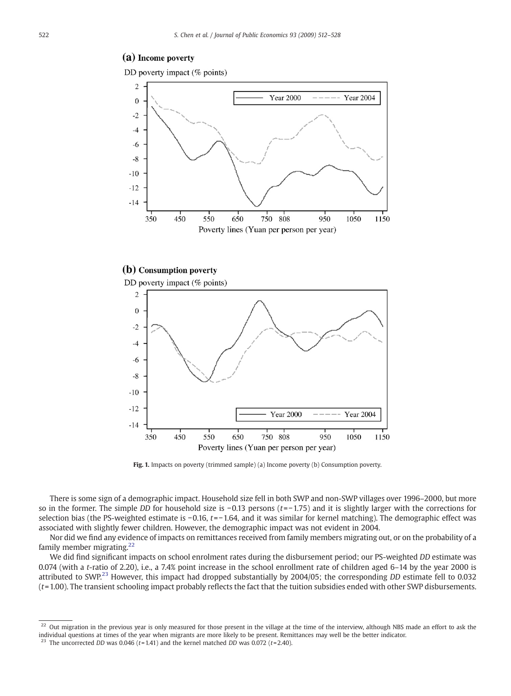### <span id="page-10-0"></span>(a) Income poverty

DD poverty impact ( $%$  points)



### (b) Consumption poverty



Fig. 1. Impacts on poverty (trimmed sample) (a) Income poverty (b) Consumption poverty.

There is some sign of a demographic impact. Household size fell in both SWP and non-SWP villages over 1996–2000, but more so in the former. The simple DD for household size is −0.13 persons (t=−1.75) and it is slightly larger with the corrections for selection bias (the PS-weighted estimate is -0.16, t=-1.64, and it was similar for kernel matching). The demographic effect was associated with slightly fewer children. However, the demographic impact was not evident in 2004.

Nor did we find any evidence of impacts on remittances received from family members migrating out, or on the probability of a family member migrating.22

We did find significant impacts on school enrolment rates during the disbursement period; our PS-weighted DD estimate was 0.074 (with a t-ratio of 2.20), i.e., a 7.4% point increase in the school enrollment rate of children aged 6–14 by the year 2000 is attributed to SWP.<sup>23</sup> However, this impact had dropped substantially by 2004/05; the corresponding DD estimate fell to 0.032  $(t= 1.00)$ . The transient schooling impact probably reflects the fact that the tuition subsidies ended with other SWP disbursements.

<sup>&</sup>lt;sup>22</sup> Out migration in the previous year is only measured for those present in the village at the time of the interview, although NBS made an effort to ask the

individual questions at times of the year when migrants are more likely to be present. Remittances may well be the better indicator.

<sup>&</sup>lt;sup>23</sup> The uncorrected *DD* was 0.046 ( $t$ = 1.41) and the kernel matched *DD* was 0.072 ( $t$ = 2.40).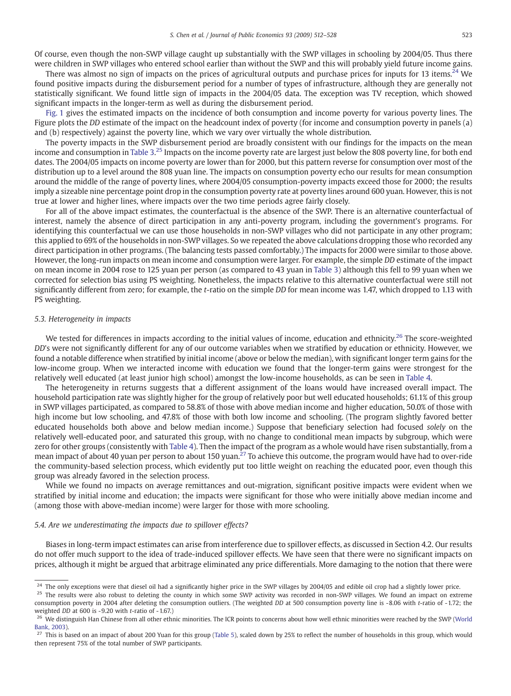Of course, even though the non-SWP village caught up substantially with the SWP villages in schooling by 2004/05. Thus there were children in SWP villages who entered school earlier than without the SWP and this will probably yield future income gains.

There was almost no sign of impacts on the prices of agricultural outputs and purchase prices for inputs for 13 items.<sup>24</sup> We found positive impacts during the disbursement period for a number of types of infrastructure, although they are generally not statistically significant. We found little sign of impacts in the 2004/05 data. The exception was TV reception, which showed significant impacts in the longer-term as well as during the disbursement period.

[Fig. 1](#page-10-0) gives the estimated impacts on the incidence of both consumption and income poverty for various poverty lines. The Figure plots the DD estimate of the impact on the headcount index of poverty (for income and consumption poverty in panels (a) and (b) respectively) against the poverty line, which we vary over virtually the whole distribution.

The poverty impacts in the SWP disbursement period are broadly consistent with our findings for the impacts on the mean income and consumption in [Table 3](#page-9-0). $^{25}$  Impacts on the income poverty rate are largest just below the 808 poverty line, for both end dates. The 2004/05 impacts on income poverty are lower than for 2000, but this pattern reverse for consumption over most of the distribution up to a level around the 808 yuan line. The impacts on consumption poverty echo our results for mean consumption around the middle of the range of poverty lines, where 2004/05 consumption-poverty impacts exceed those for 2000; the results imply a sizeable nine percentage point drop in the consumption poverty rate at poverty lines around 600 yuan. However, this is not true at lower and higher lines, where impacts over the two time periods agree fairly closely.

For all of the above impact estimates, the counterfactual is the absence of the SWP. There is an alternative counterfactual of interest, namely the absence of direct participation in any anti-poverty program, including the government's programs. For identifying this counterfactual we can use those households in non-SWP villages who did not participate in any other program; this applied to 69% of the households in non-SWP villages. So we repeated the above calculations dropping those who recorded any direct participation in other programs. (The balancing tests passed comfortably.) The impacts for 2000 were similar to those above. However, the long-run impacts on mean income and consumption were larger. For example, the simple DD estimate of the impact on mean income in 2004 rose to 125 yuan per person (as compared to 43 yuan in [Table 3](#page-9-0)) although this fell to 99 yuan when we corrected for selection bias using PS weighting. Nonetheless, the impacts relative to this alternative counterfactual were still not significantly different from zero; for example, the t-ratio on the simple DD for mean income was 1.47, which dropped to 1.13 with PS weighting.

#### 5.3. Heterogeneity in impacts

We tested for differences in impacts according to the initial values of income, education and ethnicity.<sup>26</sup> The score-weighted DD's were not significantly different for any of our outcome variables when we stratified by education or ethnicity. However, we found a notable difference when stratified by initial income (above or below the median), with significant longer term gains for the low-income group. When we interacted income with education we found that the longer-term gains were strongest for the relatively well educated (at least junior high school) amongst the low-income households, as can be seen in [Table 4.](#page-12-0)

The heterogeneity in returns suggests that a different assignment of the loans would have increased overall impact. The household participation rate was slightly higher for the group of relatively poor but well educated households; 61.1% of this group in SWP villages participated, as compared to 58.8% of those with above median income and higher education, 50.0% of those with high income but low schooling, and 47.8% of those with both low income and schooling. (The program slightly favored better educated households both above and below median income.) Suppose that beneficiary selection had focused solely on the relatively well-educated poor, and saturated this group, with no change to conditional mean impacts by subgroup, which were zero for other groups (consistently with [Table 4](#page-12-0)). Then the impact of the program as a whole would have risen substantially, from a mean impact of about 40 yuan per person to about 150 yuan. $27$  To achieve this outcome, the program would have had to over-ride the community-based selection process, which evidently put too little weight on reaching the educated poor, even though this group was already favored in the selection process.

While we found no impacts on average remittances and out-migration, significant positive impacts were evident when we stratified by initial income and education; the impacts were significant for those who were initially above median income and (among those with above-median income) were larger for those with more schooling.

#### 5.4. Are we underestimating the impacts due to spillover effects?

Biases in long-term impact estimates can arise from interference due to spillover effects, as discussed in Section 4.2. Our results do not offer much support to the idea of trade-induced spillover effects. We have seen that there were no significant impacts on prices, although it might be argued that arbitrage eliminated any price differentials. More damaging to the notion that there were

<sup>25</sup> The results were also robust to deleting the county in which some SWP activity was recorded in non-SWP villages. We found an impact on extreme consumption poverty in 2004 after deleting the consumption outliers. (The weighted DD at 500 consumption poverty line is -8.06 with t-ratio of -1.72; the weighted DD at 600 is -9.20 with t-ratio of -1.67.)

<sup>&</sup>lt;sup>24</sup> The only exceptions were that diesel oil had a significantly higher price in the SWP villages by 2004/05 and edible oil crop had a slightly lower price.

<sup>&</sup>lt;sup>26</sup> We distinguish Han Chinese from all other ethnic minorities. The ICR points to concerns about how well ethnic minorities were reached by the SWP ([World](#page-16-0) [Bank, 2003\)](#page-16-0).

<sup>27</sup> This is based on an impact of about 200 Yuan for this group ([Table 5\)](#page-13-0), scaled down by 25% to reflect the number of households in this group, which would then represent 75% of the total number of SWP participants.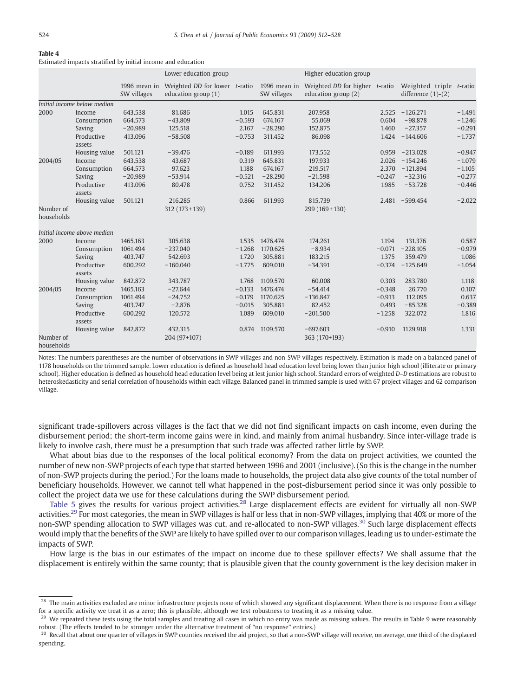#### <span id="page-12-0"></span>Table 4

Estimated impacts stratified by initial income and education

|                         |                             |                             | Lower education group                                  |          |                             | Higher education group                                     |          |                                                 |          |
|-------------------------|-----------------------------|-----------------------------|--------------------------------------------------------|----------|-----------------------------|------------------------------------------------------------|----------|-------------------------------------------------|----------|
|                         |                             | 1996 mean in<br>SW villages | Weighted DD for lower t-ratio<br>education group $(1)$ |          | 1996 mean in<br>SW villages | Weighted $DD$ for higher $t$ -ratio<br>education group (2) |          | Weighted triple t-ratio<br>difference $(1)-(2)$ |          |
|                         | Initial income below median |                             |                                                        |          |                             |                                                            |          |                                                 |          |
| 2000                    | Income                      | 643.538                     | 81.686                                                 | 1.015    | 645.831                     | 207.958                                                    | 2.525    | $-126.271$                                      | $-1.491$ |
|                         | Consumption                 | 664.573                     | $-43.809$                                              | $-0.593$ | 674.167                     | 55.069                                                     | 0.604    | $-98.878$                                       | $-1.246$ |
|                         | Saving                      | $-20.989$                   | 125.518                                                | 2.167    | $-28.290$                   | 152.875                                                    | 1.460    | $-27.357$                                       | $-0.291$ |
|                         | Productive<br>assets        | 413.096                     | $-58,508$                                              | $-0.753$ | 311.452                     | 86.098                                                     | 1.424    | $-144.606$                                      | $-1.737$ |
|                         | Housing value               | 501.121                     | $-39.476$                                              | $-0.189$ | 611.993                     | 173.552                                                    |          | $0.959 - 213.028$                               | $-0.947$ |
| 2004/05                 | Income                      | 643.538                     | 43.687                                                 | 0.319    | 645.831                     | 197.933                                                    | 2.026    | $-154.246$                                      | $-1.079$ |
|                         | Consumption                 | 664.573                     | 97.623                                                 | 1.188    | 674.167                     | 219.517                                                    | 2.370    | $-121.894$                                      | $-1.105$ |
|                         | Saving                      | $-20.989$                   | $-53.914$                                              | $-0.521$ | $-28.290$                   | $-21.598$                                                  | $-0.247$ | $-32.316$                                       | $-0.277$ |
|                         | Productive<br>assets        | 413.096                     | 80.478                                                 | 0.752    | 311.452                     | 134.206                                                    | 1.985    | $-53.728$                                       | $-0.446$ |
|                         | Housing value               | 501.121                     | 216.285                                                | 0.866    | 611.993                     | 815.739                                                    |          | 2.481 -599.454                                  | $-2.022$ |
| Number of<br>households |                             |                             | $312(173+139)$                                         |          |                             | $299(169+130)$                                             |          |                                                 |          |
|                         | Initial income above median |                             |                                                        |          |                             |                                                            |          |                                                 |          |
| 2000                    | Income                      | 1465.163                    | 305.638                                                | 1.535    | 1476.474                    | 174.261                                                    | 1.194    | 131.376                                         | 0.587    |
|                         | Consumption                 | 1061.494                    | $-237.040$                                             | $-1.268$ | 1170.625                    | $-8.934$                                                   | $-0.071$ | $-228.105$                                      | $-0.979$ |
|                         | Saving                      | 403.747                     | 542.693                                                | 1.720    | 305.881                     | 183.215                                                    | 1.375    | 359.479                                         | 1.086    |
|                         | Productive<br>assets        | 600.292                     | $-160.040$                                             | $-1.775$ | 609.010                     | $-34.391$                                                  | $-0.374$ | $-125.649$                                      | $-1.054$ |
|                         | Housing value               | 842.872                     | 343.787                                                | 1.768    | 1109.570                    | 60.008                                                     | 0.303    | 283.780                                         | 1.118    |
| 2004/05                 | Income                      | 1465.163                    | $-27.644$                                              | $-0.133$ | 1476.474                    | $-54.414$                                                  | $-0.348$ | 26,770                                          | 0.107    |
|                         | Consumption                 | 1061.494                    | $-24.752$                                              | $-0.179$ | 1170.625                    | $-136.847$                                                 | $-0.913$ | 112.095                                         | 0.637    |
|                         | Saving                      | 403.747                     | $-2.876$                                               | $-0.015$ | 305.881                     | 82.452                                                     | 0.493    | $-85.328$                                       | $-0.389$ |
|                         | Productive<br>assets        | 600.292                     | 120.572                                                | 1.089    | 609.010                     | $-201,500$                                                 | $-1.258$ | 322.072                                         | 1.816    |
| Number of<br>households | Housing value               | 842.872                     | 432.315<br>204 (97+107)                                |          | 0.874 1109.570              | $-697.603$<br>363 (170+193)                                | $-0.910$ | 1129.918                                        | 1.331    |

Notes: The numbers parentheses are the number of observations in SWP villages and non-SWP villages respectively. Estimation is made on a balanced panel of 1178 households on the trimmed sample. Lower education is defined as household head education level being lower than junior high school (illiterate or primary school). Higher education is defined as household head education level being at lest junior high school. Standard errors of weighted D-D estimations are robust to heteroskedasticity and serial correlation of households within each village. Balanced panel in trimmed sample is used with 67 project villages and 62 comparison village.

significant trade-spillovers across villages is the fact that we did not find significant impacts on cash income, even during the disbursement period; the short-term income gains were in kind, and mainly from animal husbandry. Since inter-village trade is likely to involve cash, there must be a presumption that such trade was affected rather little by SWP.

What about bias due to the responses of the local political economy? From the data on project activities, we counted the number of new non-SWP projects of each type that started between 1996 and 2001 (inclusive). (So this is the change in the number of non-SWP projects during the period.) For the loans made to households, the project data also give counts of the total number of beneficiary households. However, we cannot tell what happened in the post-disbursement period since it was only possible to collect the project data we use for these calculations during the SWP disbursement period.

[Table 5](#page-13-0) gives the results for various project activities.<sup>28</sup> Large displacement effects are evident for virtually all non-SWP activities.<sup>29</sup> For most categories, the mean in SWP villages is half or less that in non-SWP villages, implying that 40% or more of the non-SWP spending allocation to SWP villages was cut, and re-allocated to non-SWP villages.<sup>30</sup> Such large displacement effects would imply that the benefits of the SWP are likely to have spilled over to our comparison villages, leading us to under-estimate the impacts of SWP.

How large is the bias in our estimates of the impact on income due to these spillover effects? We shall assume that the displacement is entirely within the same county; that is plausible given that the county government is the key decision maker in

<sup>&</sup>lt;sup>28</sup> The main activities excluded are minor infrastructure projects none of which showed any significant displacement. When there is no response from a village for a specific activity we treat it as a zero; this is plausible, although we test robustness to treating it as a missing value.

<sup>&</sup>lt;sup>29</sup> We repeated these tests using the total samples and treating all cases in which no entry was made as missing values. The results in Table 9 were reasonably robust. (The effects tended to be stronger under the alternative treatment of "no response" entries.)

<sup>&</sup>lt;sup>30</sup> Recall that about one quarter of villages in SWP counties received the aid project, so that a non-SWP village will receive, on average, one third of the displaced spending.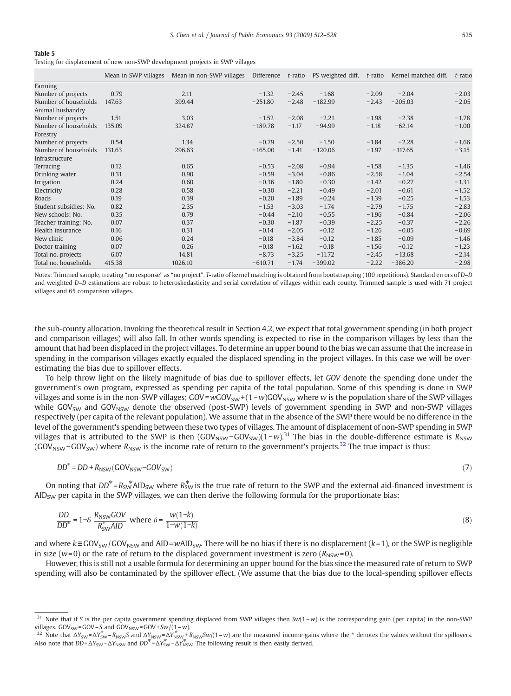<span id="page-13-0"></span>

| Table 5 |  |  |  |  |
|---------|--|--|--|--|
|         |  |  |  |  |

| Testing for displacement of new non-SWP development projects in SWP villages |  |  |
|------------------------------------------------------------------------------|--|--|
|                                                                              |  |  |

|                        | Mean in SWP villages | Mean in non-SWP villages | Difference | t-ratio | PS weighted diff, t-ratio |         | Kernel matched diff. | t-ratio |
|------------------------|----------------------|--------------------------|------------|---------|---------------------------|---------|----------------------|---------|
| Farming                |                      |                          |            |         |                           |         |                      |         |
| Number of projects     | 0.79                 | 2.11                     | $-1.32$    | $-2.45$ | $-1.68$                   | $-2.09$ | $-2.04$              | $-2.03$ |
| Number of households   | 147.63               | 399.44                   | $-251.80$  | $-2.48$ | $-182.99$                 | $-2.43$ | $-205.03$            | $-2.05$ |
| Animal husbandry       |                      |                          |            |         |                           |         |                      |         |
| Number of projects     | 1.51                 | 3.03                     | $-1.52$    | $-2.08$ | $-2.21$                   | $-1.98$ | $-2.38$              | $-1.78$ |
| Number of households   | 135.09               | 324.87                   | $-189.78$  | $-1.17$ | $-94.99$                  | $-1.18$ | $-62.14$             | $-1.00$ |
| Forestry               |                      |                          |            |         |                           |         |                      |         |
| Number of projects     | 0.54                 | 1.34                     | $-0.79$    | $-2.50$ | $-1.50$                   | $-1.84$ | $-2.28$              | $-1.66$ |
| Number of households   | 131.63               | 296.63                   | $-165.00$  | $-1.41$ | $-120.06$                 | $-1.97$ | $-117.65$            | $-3.15$ |
| Infrastructure         |                      |                          |            |         |                           |         |                      |         |
| <b>Terracing</b>       | 0.12                 | 0.65                     | $-0.53$    | $-2.08$ | $-0.94$                   | $-1.58$ | $-1.35$              | $-1.46$ |
| Drinking water         | 0.31                 | 0.90                     | $-0.59$    | $-3.04$ | $-0.86$                   | $-2.58$ | $-1.04$              | $-2.54$ |
| Irrigation             | 0.24                 | 0.60                     | $-0.36$    | $-1.80$ | $-0.30$                   | $-1.42$ | $-0.27$              | $-1.31$ |
| Electricity            | 0.28                 | 0.58                     | $-0.30$    | $-2.21$ | $-0.49$                   | $-2.01$ | $-0.61$              | $-1.52$ |
| Roads                  | 0.19                 | 0.39                     | $-0.20$    | $-1.89$ | $-0.24$                   | $-1.39$ | $-0.25$              | $-1.53$ |
| Student subsidies: No. | 0.82                 | 2.35                     | $-1.53$    | $-3.03$ | $-1.74$                   | $-2.79$ | $-1.75$              | $-2.83$ |
| New schools: No.       | 0.35                 | 0.79                     | $-0.44$    | $-2.10$ | $-0.55$                   | $-1.96$ | $-0.84$              | $-2.06$ |
| Teacher training: No.  | 0.07                 | 0.37                     | $-0.30$    | $-1.87$ | $-0.39$                   | $-2.25$ | $-0.37$              | $-2.26$ |
| Health insurance       | 0.16                 | 0.31                     | $-0.14$    | $-2.05$ | $-0.12$                   | $-1.26$ | $-0.05$              | $-0.69$ |
| New clinic             | 0.06                 | 0.24                     | $-0.18$    | $-3.84$ | $-0.12$                   | $-1.85$ | $-0.09$              | $-1.46$ |
| Doctor training        | 0.07                 | 0.26                     | $-0.18$    | $-1.62$ | $-0.18$                   | $-1.56$ | $-0.12$              | $-1.23$ |
| Total no. projects     | 6.07                 | 14.81                    | $-8.73$    | $-3.25$ | $-11.72$                  | $-2.45$ | $-13.68$             | $-2.14$ |
| Total no. households   | 415.38               | 1026.10                  | $-610.71$  | $-1.74$ | $-399.02$                 | $-2.22$ | $-386.20$            | $-2.98$ |

Notes: Trimmed sample, treating "no response" as "no project". T-ratio of kernel matching is obtained from bootstrapping (100 repetitions). Standard errors of D–D and weighted D–D estimations are robust to heteroskedasticity and serial correlation of villages within each county. Trimmed sample is used with 71 project villages and 65 comparison villages.

the sub-county allocation. Invoking the theoretical result in Section 4.2, we expect that total government spending (in both project and comparison villages) will also fall. In other words spending is expected to rise in the comparison villages by less than the amount that had been displaced in the project villages. To determine an upper bound to the bias we can assume that the increase in spending in the comparison villages exactly equaled the displaced spending in the project villages. In this case we will be overestimating the bias due to spillover effects.

To help throw light on the likely magnitude of bias due to spillover effects, let GOV denote the spending done under the government's own program, expressed as spending per capita of the total population. Some of this spending is done in SWP villages and some is in the non-SWP villages;  $GOV = wGOV_{SW} + (1-w)GOV_{NSW}$  where w is the population share of the SWP villages while GOV<sub>NSW</sub> and GOV<sub>NSW</sub> denote the observed (post-SWP) levels of government spending in SWP and non-SWP villages respectively (per capita of the relevant population). We assume that in the absence of the SWP there would be no difference in the level of the government's spending between these two types of villages. The amount of displacement of non-SWP spending in SWP villages that is attributed to the SWP is then  $(GOV_{NSW}-GOV_{SW})(1-w)^{31}$ . The bias in the double-difference estimate is  $R_{NSW}$ (GOV<sub>NSW</sub>−GOV<sub>SW</sub>) where R<sub>NSW</sub> is the income rate of return to the government's projects.<sup>32</sup> The true impact is thus:

$$
DD^* = DD + R_{NSW}(GOV_{NSW} - GOV_{SW})
$$
\n<sup>(7)</sup>

On noting that  $DD^* = R_{SW}^*$ AID<sub>SW</sub> where  $R_{SW}^*$  is the true rate of return to the SWP and the external aid-financed investment is  $AID<sub>SW</sub>$  per capita in the SWP villages, we can then derive the following formula for the proportionate bias:

$$
\frac{DD}{DD^*} = 1 - \delta \frac{R_{\text{NSW}} GOV}{R_{\text{SW}}^* AID} \text{ where } \delta = \frac{w(1-k)}{1 - w(1-k)} \tag{8}
$$

and where  $k \equiv GOV_{SW}/GOV_{NSW}$  and AID = wAID<sub>SW</sub>. There will be no bias if there is no displacement ( $k=1$ ), or the SWP is negligible in size ( $w=0$ ) or the rate of return to the displaced government investment is zero ( $R_{\text{NSW}}=0$ ).

However, this is still not a usable formula for determining an upper bound for the bias since the measured rate of return to SWP spending will also be contaminated by the spillover effect. (We assume that the bias due to the local-spending spillover effects

<sup>&</sup>lt;sup>31</sup> Note that if S is the per capita government spending displaced from SWP villages then  $Sw(1-w)$  is the corresponding gain (per capita) in the non-SWP villages. GOV<sub>SW</sub>=GOV–S and GOV<sub>NSW</sub>=GOV+Sw/(1–w).<br><sup>32</sup> Note that ΔY<sub>SW</sub>=ΔY<sub>ŠW</sub>–R<sub>NSW</sub>S and ΔY<sub>NSW</sub>=ΔY<sub>NSW</sub>+R<sub>NSW</sub>Sw/(1–w) are the measured income gains where the \* denotes the values without the spillovers.

Also note that  $DD = \Delta Y_{SW} - \Delta Y_{NSW}$  and  $DD^* = \Delta Y_{SW}^* - \Delta Y_{NSW}^*$ . The following result is then easily derived.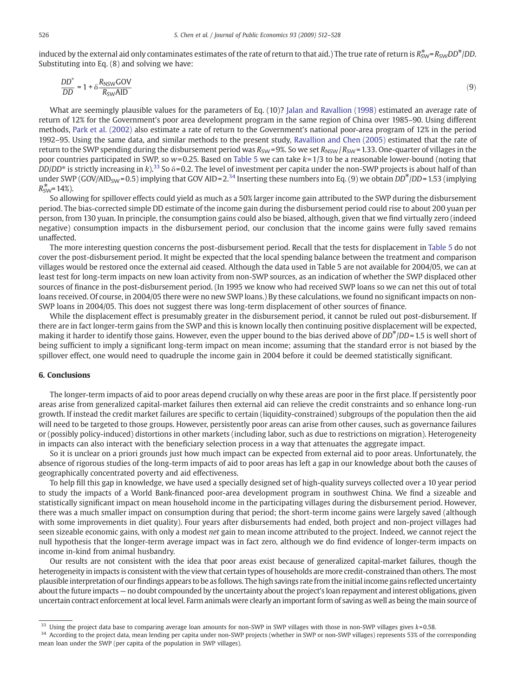induced by the external aid only contaminates estimates of the rate of return to that aid.) The true rate of return is  $R_{SW}^* = R_{SW}DD^* / DD$ . Substituting into Eq. (8) and solving we have:

$$
\frac{DD^*}{DD} = 1 + \delta \frac{R_{\text{NSW}} \text{GOV}}{R_{\text{SW}} \text{AID}} \tag{9}
$$

What are seemingly plausible values for the parameters of Eq. (10)? [Jalan and Ravallion \(1998\)](#page-16-0) estimated an average rate of return of 12% for the Government's poor area development program in the same region of China over 1985–90. Using different methods, [Park et al. \(2002\)](#page-16-0) also estimate a rate of return to the Government's national poor-area program of 12% in the period 1992–95. Using the same data, and similar methods to the present study, [Ravallion and Chen \(2005\)](#page-16-0) estimated that the rate of return to the SWP spending during the disbursement period was  $R_{SW}= 9\%$ . So we set  $R_{NSW}/R_{SW}= 1.33$ . One-quarter of villages in the poor countries participated in SWP, so  $w=0.25$ . Based on [Table 5](#page-13-0) we can take  $k=1/3$  to be a reasonable lower-bound (noting that  $DD/DD^*$  is strictly increasing in k).<sup>33</sup> So  $\delta$ =0.2. The level of investment per capita under the non-SWP projects is about half of than under SWP (GOV/AID<sub>SW</sub>= 0.5) implying that GOV AID =  $2^{34}$  Inserting these numbers into Eq. (9) we obtain DD<sup>\*</sup>/DD=1.53 (implying  $R_{SW}^* = 14\%$ ).

So allowing for spillover effects could yield as much as a 50% larger income gain attributed to the SWP during the disbursement period. The bias-corrected simple DD estimate of the income gain during the disbursement period could rise to about 200 yuan per person, from 130 yuan. In principle, the consumption gains could also be biased, although, given that we find virtually zero (indeed negative) consumption impacts in the disbursement period, our conclusion that the income gains were fully saved remains unaffected.

The more interesting question concerns the post-disbursement period. Recall that the tests for displacement in [Table 5](#page-13-0) do not cover the post-disbursement period. It might be expected that the local spending balance between the treatment and comparison villages would be restored once the external aid ceased. Although the data used in Table 5 are not available for 2004/05, we can at least test for long-term impacts on new loan activity from non-SWP sources, as an indication of whether the SWP displaced other sources of finance in the post-disbursement period. (In 1995 we know who had received SWP loans so we can net this out of total loans received. Of course, in 2004/05 there were no new SWP loans.) By these calculations, we found no significant impacts on non-SWP loans in 2004/05. This does not suggest there was long-term displacement of other sources of finance.

While the displacement effect is presumably greater in the disbursement period, it cannot be ruled out post-disbursement. If there are in fact longer-term gains from the SWP and this is known locally then continuing positive displacement will be expected, making it harder to identify those gains. However, even the upper bound to the bias derived above of  $DD^*/DD=1.5$  is well short of being sufficient to imply a significant long-term impact on mean income; assuming that the standard error is not biased by the spillover effect, one would need to quadruple the income gain in 2004 before it could be deemed statistically significant.

#### 6. Conclusions

The longer-term impacts of aid to poor areas depend crucially on why these areas are poor in the first place. If persistently poor areas arise from generalized capital-market failures then external aid can relieve the credit constraints and so enhance long-run growth. If instead the credit market failures are specific to certain (liquidity-constrained) subgroups of the population then the aid will need to be targeted to those groups. However, persistently poor areas can arise from other causes, such as governance failures or (possibly policy-induced) distortions in other markets (including labor, such as due to restrictions on migration). Heterogeneity in impacts can also interact with the beneficiary selection process in a way that attenuates the aggregate impact.

So it is unclear on a priori grounds just how much impact can be expected from external aid to poor areas. Unfortunately, the absence of rigorous studies of the long-term impacts of aid to poor areas has left a gap in our knowledge about both the causes of geographically concentrated poverty and aid effectiveness.

To help fill this gap in knowledge, we have used a specially designed set of high-quality surveys collected over a 10 year period to study the impacts of a World Bank-financed poor-area development program in southwest China. We find a sizeable and statistically significant impact on mean household income in the participating villages during the disbursement period. However, there was a much smaller impact on consumption during that period; the short-term income gains were largely saved (although with some improvements in diet quality). Four years after disbursements had ended, both project and non-project villages had seen sizeable economic gains, with only a modest net gain to mean income attributed to the project. Indeed, we cannot reject the null hypothesis that the longer-term average impact was in fact zero, although we do find evidence of longer-term impacts on income in-kind from animal husbandry.

Our results are not consistent with the idea that poor areas exist because of generalized capital-market failures, though the heterogeneity in impacts is consistent with the view that certain types of households are more credit-constrained than others. The most plausible interpretation of our findings appears to be as follows. The high savings rate from theinitial income gains reflected uncertainty about the future impacts — no doubt compounded by the uncertainty about the project's loan repayment and interest obligations, given uncertain contract enforcement at local level. Farm animals were clearly an important form of saving as well as being the main source of

<sup>&</sup>lt;sup>33</sup> Using the project data base to comparing average loan amounts for non-SWP in SWP villages with those in non-SWP villages gives  $k=0.58$ .

<sup>34</sup> According to the project data, mean lending per capita under non-SWP projects (whether in SWP or non-SWP villages) represents 53% of the corresponding mean loan under the SWP (per capita of the population in SWP villages).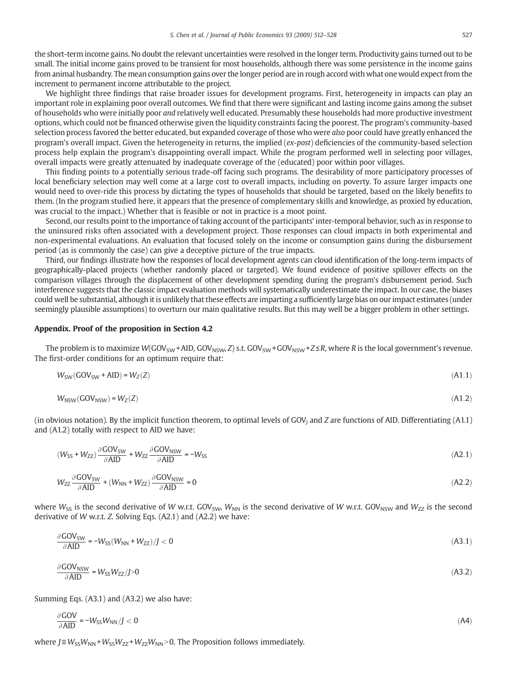the short-term income gains. No doubt the relevant uncertainties were resolved in the longer term. Productivity gains turned out to be small. The initial income gains proved to be transient for most households, although there was some persistence in the income gains from animal husbandry. The mean consumption gains over the longer period are in rough accord with what one would expect from the increment to permanent income attributable to the project.

We highlight three findings that raise broader issues for development programs. First, heterogeneity in impacts can play an important role in explaining poor overall outcomes. We find that there were significant and lasting income gains among the subset of households who were initially poor and relatively well educated. Presumably these households had more productive investment options, which could not be financed otherwise given the liquidity constraints facing the poorest. The program's community-based selection process favored the better educated, but expanded coverage of those who were also poor could have greatly enhanced the program's overall impact. Given the heterogeneity in returns, the implied (ex-post) deficiencies of the community-based selection process help explain the program's disappointing overall impact. While the program performed well in selecting poor villages, overall impacts were greatly attenuated by inadequate coverage of the (educated) poor within poor villages.

This finding points to a potentially serious trade-off facing such programs. The desirability of more participatory processes of local beneficiary selection may well come at a large cost to overall impacts, including on poverty. To assure larger impacts one would need to over-ride this process by dictating the types of households that should be targeted, based on the likely benefits to them. (In the program studied here, it appears that the presence of complementary skills and knowledge, as proxied by education, was crucial to the impact.) Whether that is feasible or not in practice is a moot point.

Second, our results point to the importance of taking account of the participants' inter-temporal behavior, such as in response to the uninsured risks often associated with a development project. Those responses can cloud impacts in both experimental and non-experimental evaluations. An evaluation that focused solely on the income or consumption gains during the disbursement period (as is commonly the case) can give a deceptive picture of the true impacts.

Third, our findings illustrate how the responses of local development agents can cloud identification of the long-term impacts of geographically-placed projects (whether randomly placed or targeted). We found evidence of positive spillover effects on the comparison villages through the displacement of other development spending during the program's disbursement period. Such interference suggests that the classic impact evaluation methods will systematically underestimate the impact. In our case, the biases could well be substantial, although it is unlikely that these effects are imparting a sufficiently large bias on our impact estimates (under seemingly plausible assumptions) to overturn our main qualitative results. But this may well be a bigger problem in other settings.

#### Appendix. Proof of the proposition in Section 4.2

The problem is to maximize W(GOV<sub>SW</sub>+AID, GOV<sub>NSW</sub>, Z) s.t. GOV<sub>SW</sub>+GOV<sub>NSW</sub>+Z ≤R, where R is the local government's revenue. The first-order conditions for an optimum require that:

$$
W_{SW}(\text{GOV}_{SW} + \text{AID}) = W_Z(Z) \tag{A1.1}
$$

$$
W_{\text{NSW}}(\text{GOV}_{\text{NSW}}) = W_Z(Z) \tag{A1.2}
$$

(in obvious notation). By the implicit function theorem, to optimal levels of GOV<sub>i</sub> and Z are functions of AID. Differentiating (A1.1) and (A1.2) totally with respect to AID we have:

$$
(W_{SS} + W_{ZZ}) \frac{\partial \text{GOV}_{SW}}{\partial \text{AID}} + W_{ZZ} \frac{\partial \text{GOV}_{NSW}}{\partial \text{AID}} = -W_{SS}
$$
 (A2.1)

$$
W_{ZZ} \frac{\partial \text{GOV}_{SW}}{\partial \text{AID}} + (W_{NN} + W_{ZZ}) \frac{\partial \text{GOV}_{NSW}}{\partial \text{AID}} = 0
$$
\n(A2.2)

where  $W_{SS}$  is the second derivative of W w.r.t. GOV<sub>SW</sub>, W<sub>NN</sub> is the second derivative of W w.r.t. GOV<sub>NSW</sub> and W<sub>7Z</sub> is the second derivative of W w.r.t. Z. Solving Eqs. (A2.1) and (A2.2) we have:

$$
\frac{\partial \text{GOV}_{SW}}{\partial \text{AID}} = -W_{SS}(W_{NN} + W_{ZZ})/J < 0 \tag{A3.1}
$$

$$
\frac{\partial \text{GOV}_{\text{NSW}}}{\partial \text{AID}} = W_{\text{SS}} W_{\text{ZZ}} / J > 0 \tag{A3.2}
$$

Summing Eqs. (A3.1) and (A3.2) we also have:

$$
\frac{\partial \text{GOV}}{\partial \text{AID}} = -W_{\text{SS}} W_{\text{NN}} / J < 0 \tag{A4}
$$

where  $J \equiv W_{SS}W_{NN} + W_{SS}W_{ZZ} + W_{ZZ}W_{NN} > 0$ . The Proposition follows immediately.